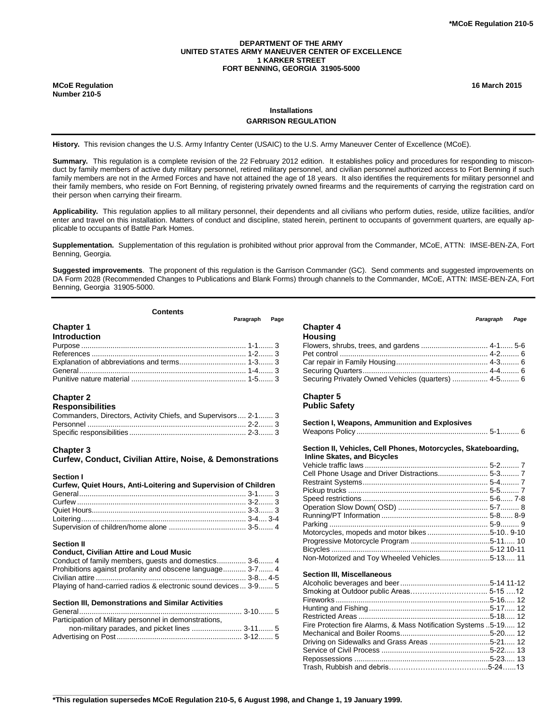# **DEPARTMENT OF THE ARMY UNITED STATES ARMY MANEUVER CENTER OF EXCELLENCE 1 KARKER STREET FORT BENNING, GEORGIA 31905-5000**

**MCoE Regulation 16 March 2015 Number 210-5**

# **Installations GARRISON REGULATION**

**History.** This revision changes the U.S. Army Infantry Center (USAIC) to the U.S. Army Maneuver Center of Excellence (MCoE).

**Summary.** This regulation is a complete revision of the 22 February 2012 edition. It establishes policy and procedures for responding to misconduct by family members of active duty military personnel, retired military personnel, and civilian personnel authorized access to Fort Benning if such family members are not in the Armed Forces and have not attained the age of 18 years. It also identifies the requirements for military personnel and their family members, who reside on Fort Benning, of registering privately owned firearms and the requirements of carrying the registration card on their person when carrying their firearm.

**Applicability.** This regulation applies to all military personnel, their dependents and all civilians who perform duties, reside, utilize facilities, and/or enter and travel on this installation. Matters of conduct and discipline, stated herein, pertinent to occupants of government quarters, are equally applicable to occupants of Battle Park Homes.

**Supplementation.** Supplementation of this regulation is prohibited without prior approval from the Commander, MCoE, ATTN: IMSE-BEN-ZA, Fort Benning, Georgia.

**Suggested improvements**. The proponent of this regulation is the Garrison Commander (GC). Send comments and suggested improvements on DA Form 2028 (Recommended Changes to Publications and Blank Forms) through channels to the Commander, MCoE, ATTN: IMSE-BEN-ZA, Fort Benning, Georgia 31905-5000.

|  | <b>Contents</b> |
|--|-----------------|
|  |                 |

| <u>vunuma</u>       |                |  |
|---------------------|----------------|--|
| <b>Chapter 1</b>    | Paragraph Page |  |
| <b>Introduction</b> |                |  |
|                     |                |  |
|                     |                |  |
|                     |                |  |
|                     |                |  |
|                     |                |  |

# **Chapter 2**

| <b>Responsibilities</b>                                       |  |
|---------------------------------------------------------------|--|
| Commanders, Directors, Activity Chiefs, and Supervisors 2-1 3 |  |
|                                                               |  |
|                                                               |  |

# **Chapter 3**

**Curfew, Conduct, Civilian Attire, Noise, & Demonstrations**

# **Section I**

| Curfew, Quiet Hours, Anti-Loitering and Supervision of Children |  |
|-----------------------------------------------------------------|--|
|                                                                 |  |
|                                                                 |  |
|                                                                 |  |
|                                                                 |  |
|                                                                 |  |

#### **Section II**

# **Conduct, Civilian Attire and Loud Music**

**\_\_\_\_\_\_\_\_\_\_\_\_\_\_\_\_\_\_\_\_\_\_\_\_\_\_\_\_\_\_\_\_\_\_\_\_\_\_\_\_\_\_\_\_\_\_\_\_\_\_**

| Conduct of family members, guests and domestics 3-6 4           |  |
|-----------------------------------------------------------------|--|
| Prohibitions against profanity and obscene language 3-7 4       |  |
|                                                                 |  |
| Playing of hand-carried radios & electronic sound devices 3-9 5 |  |

### **Section III, Demonstrations and Similar Activities**

| Participation of Military personnel in demonstrations, |  |
|--------------------------------------------------------|--|
| non-military parades, and picket lines  3-11 5         |  |
|                                                        |  |

|                                                     | Paragraph | Page |
|-----------------------------------------------------|-----------|------|
| <b>Chapter 4</b>                                    |           |      |
| <b>Housing</b>                                      |           |      |
|                                                     |           |      |
|                                                     |           |      |
|                                                     |           |      |
|                                                     |           |      |
| Securing Privately Owned Vehicles (quarters)  4-5 6 |           |      |

# **Chapter 5 Public Safety**

| Section I, Weapons, Ammunition and Explosives                                                        |            |
|------------------------------------------------------------------------------------------------------|------------|
| Section II, Vehicles, Cell Phones, Motorcycles, Skateboarding,<br><b>Inline Skates, and Bicycles</b> |            |
|                                                                                                      |            |
| Cell Phone Usage and Driver Distractions 5-3 7                                                       |            |
|                                                                                                      |            |
|                                                                                                      |            |
|                                                                                                      |            |
|                                                                                                      |            |
|                                                                                                      |            |
|                                                                                                      |            |
| Motorcycles, mopeds and motor bikes 5-10 9-10                                                        |            |
|                                                                                                      |            |
| $\mathsf{D}^{\mathsf{in}}$                                                                           | 5.40.40.44 |

| Non-Motorized and Toy Wheeled Vehicles5-13 11 |  |
|-----------------------------------------------|--|

### **Section III, Miscellaneous**

| Fire Protection fire Alarms, & Mass Notification Systems 5-19 12 |  |
|------------------------------------------------------------------|--|
|                                                                  |  |
|                                                                  |  |
|                                                                  |  |
|                                                                  |  |
|                                                                  |  |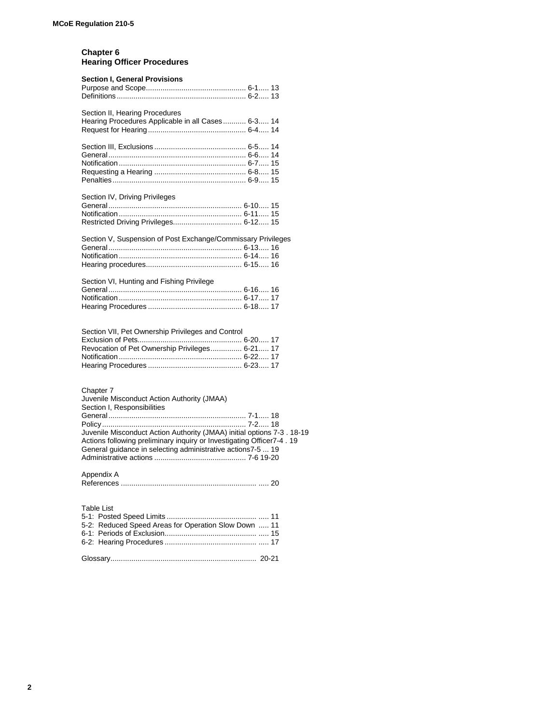# **Chapter 6 Hearing Officer Procedures**

| <b>Section I, General Provisions</b>                                    |
|-------------------------------------------------------------------------|
|                                                                         |
| Section II, Hearing Procedures                                          |
| Hearing Procedures Applicable in all Cases 6-3 14                       |
|                                                                         |
|                                                                         |
|                                                                         |
|                                                                         |
|                                                                         |
| Section IV, Driving Privileges                                          |
|                                                                         |
|                                                                         |
|                                                                         |
| Section V, Suspension of Post Exchange/Commissary Privileges            |
|                                                                         |
|                                                                         |
|                                                                         |
| Section VI, Hunting and Fishing Privilege                               |
|                                                                         |
|                                                                         |
|                                                                         |
| Section VII, Pet Ownership Privileges and Control                       |
|                                                                         |
| Revocation of Pet Ownership Privileges 6-21 17                          |
|                                                                         |
|                                                                         |
|                                                                         |
| Chapter 7<br>Juvenile Misconduct Action Authority (JMAA)                |
| Section I, Responsibilities                                             |
|                                                                         |
|                                                                         |
| Juvenile Misconduct Action Authority (JMAA) initial options 7-3 . 18-19 |
| Actions following preliminary inquiry or Investigating Officer7-4. 19   |
| General guidance in selecting administrative actions7-5  19             |
|                                                                         |
| Appendix A                                                              |
|                                                                         |
|                                                                         |
| <b>Table List</b>                                                       |
|                                                                         |
| 5-2: Reduced Speed Areas for Operation Slow Down  11                    |
|                                                                         |
|                                                                         |
|                                                                         |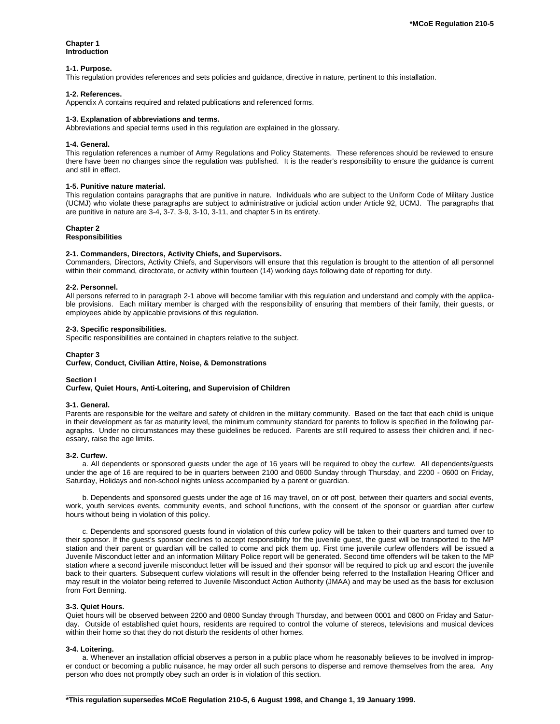# **Chapter 1 Introduction**

# **1-1. Purpose.**

This regulation provides references and sets policies and guidance, directive in nature, pertinent to this installation.

### **1-2. References.**

Appendix A contains required and related publications and referenced forms.

### **1-3. Explanation of abbreviations and terms.**

Abbreviations and special terms used in this regulation are explained in the glossary.

### **1-4. General.**

This regulation references a number of Army Regulations and Policy Statements. These references should be reviewed to ensure there have been no changes since the regulation was published. It is the reader's responsibility to ensure the guidance is current and still in effect.

### **1-5. Punitive nature material.**

This regulation contains paragraphs that are punitive in nature. Individuals who are subject to the Uniform Code of Military Justice (UCMJ) who violate these paragraphs are subject to administrative or judicial action under Article 92, UCMJ. The paragraphs that are punitive in nature are 3-4, 3-7, 3-9, 3-10, 3-11, and chapter 5 in its entirety.

# **Chapter 2**

# **Responsibilities**

# **2-1. Commanders, Directors, Activity Chiefs, and Supervisors.**

Commanders, Directors, Activity Chiefs, and Supervisors will ensure that this regulation is brought to the attention of all personnel within their command, directorate, or activity within fourteen (14) working days following date of reporting for duty.

### **2-2. Personnel.**

All persons referred to in paragraph 2-1 above will become familiar with this regulation and understand and comply with the applicable provisions. Each military member is charged with the responsibility of ensuring that members of their family, their guests, or employees abide by applicable provisions of this regulation.

### **2-3. Specific responsibilities.**

Specific responsibilities are contained in chapters relative to the subject.

### **Chapter 3**

### **Curfew, Conduct, Civilian Attire, Noise, & Demonstrations**

#### **Section I**

### **Curfew, Quiet Hours, Anti-Loitering, and Supervision of Children**

### **3-1. General.**

Parents are responsible for the welfare and safety of children in the military community. Based on the fact that each child is unique in their development as far as maturity level, the minimum community standard for parents to follow is specified in the following paragraphs. Under no circumstances may these guidelines be reduced. Parents are still required to assess their children and, if necessary, raise the age limits.

#### **3-2. Curfew.**

a. All dependents or sponsored guests under the age of 16 years will be required to obey the curfew. All dependents/guests under the age of 16 are required to be in quarters between 2100 and 0600 Sunday through Thursday, and 2200 - 0600 on Friday, Saturday, Holidays and non-school nights unless accompanied by a parent or guardian.

b. Dependents and sponsored guests under the age of 16 may travel, on or off post, between their quarters and social events, work, youth services events, community events, and school functions, with the consent of the sponsor or guardian after curfew hours without being in violation of this policy.

c. Dependents and sponsored guests found in violation of this curfew policy will be taken to their quarters and turned over to their sponsor. If the guest's sponsor declines to accept responsibility for the juvenile guest, the guest will be transported to the MP station and their parent or guardian will be called to come and pick them up. First time juvenile curfew offenders will be issued a Juvenile Misconduct letter and an information Military Police report will be generated. Second time offenders will be taken to the MP station where a second juvenile misconduct letter will be issued and their sponsor will be required to pick up and escort the juvenile back to their quarters. Subsequent curfew violations will result in the offender being referred to the Installation Hearing Officer and may result in the violator being referred to Juvenile Misconduct Action Authority (JMAA) and may be used as the basis for exclusion from Fort Benning.

### **3-3. Quiet Hours.**

Quiet hours will be observed between 2200 and 0800 Sunday through Thursday, and between 0001 and 0800 on Friday and Saturday. Outside of established quiet hours, residents are required to control the volume of stereos, televisions and musical devices within their home so that they do not disturb the residents of other homes.

### **3-4. Loitering.**

**\_\_\_\_\_\_\_\_\_\_\_\_\_\_\_\_\_\_\_\_\_\_\_\_\_\_\_\_\_\_\_\_\_\_\_\_\_\_\_\_\_\_\_\_\_\_\_\_\_\_**

a. Whenever an installation official observes a person in a public place whom he reasonably believes to be involved in improper conduct or becoming a public nuisance, he may order all such persons to disperse and remove themselves from the area. Any person who does not promptly obey such an order is in violation of this section.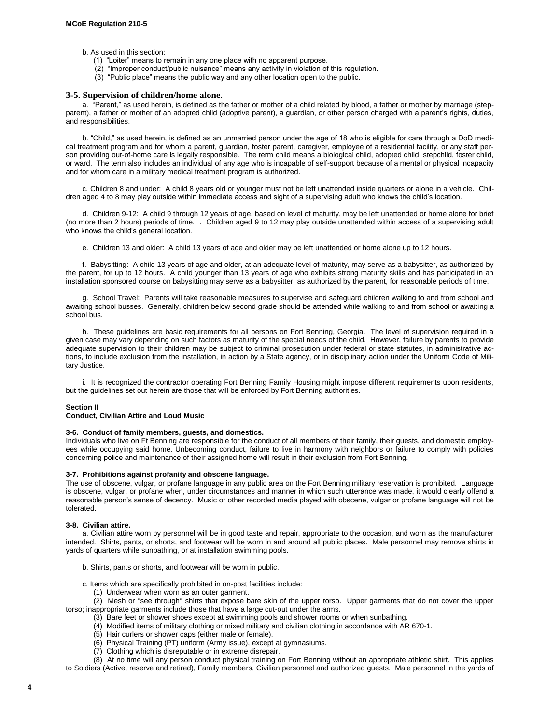- b. As used in this section:
	- (1) "Loiter" means to remain in any one place with no apparent purpose.
	- (2) "Improper conduct/public nuisance" means any activity in violation of this regulation.
	- (3) "Public place" means the public way and any other location open to the public.

### **3-5. Supervision of children/home alone.**

a. <sup>"</sup>Parent," as used herein, is defined as the father or mother of a child related by blood, a father or mother by marriage (stepparent), a father or mother of an adopted child (adoptive parent), a guardian, or other person charged with a parent's rights, duties, and responsibilities.

b. "Child," as used herein, is defined as an unmarried person under the age of 18 who is eligible for care through a DoD medical treatment program and for whom a parent, guardian, foster parent, caregiver, employee of a residential facility, or any staff person providing out-of-home care is legally responsible. The term child means a biological child, adopted child, stepchild, foster child, or ward. The term also includes an individual of any age who is incapable of self-support because of a mental or physical incapacity and for whom care in a military medical treatment program is authorized.

c. Children 8 and under: A child 8 years old or younger must not be left unattended inside quarters or alone in a vehicle. Children aged 4 to 8 may play outside within immediate access and sight of a supervising adult who knows the child's location.

d. Children 9-12: A child 9 through 12 years of age, based on level of maturity, may be left unattended or home alone for brief (no more than 2 hours) periods of time. . Children aged 9 to 12 may play outside unattended within access of a supervising adult who knows the child's general location.

e. Children 13 and older: A child 13 years of age and older may be left unattended or home alone up to 12 hours.

f. Babysitting: A child 13 years of age and older, at an adequate level of maturity, may serve as a babysitter, as authorized by the parent, for up to 12 hours. A child younger than 13 years of age who exhibits strong maturity skills and has participated in an installation sponsored course on babysitting may serve as a babysitter, as authorized by the parent, for reasonable periods of time.

g. School Travel: Parents will take reasonable measures to supervise and safeguard children walking to and from school and awaiting school busses. Generally, children below second grade should be attended while walking to and from school or awaiting a school bus.

h. These guidelines are basic requirements for all persons on Fort Benning, Georgia. The level of supervision required in a given case may vary depending on such factors as maturity of the special needs of the child. However, failure by parents to provide adequate supervision to their children may be subject to criminal prosecution under federal or state statutes, in administrative actions, to include exclusion from the installation, in action by a State agency, or in disciplinary action under the Uniform Code of Military Justice.

i. It is recognized the contractor operating Fort Benning Family Housing might impose different requirements upon residents, but the guidelines set out herein are those that will be enforced by Fort Benning authorities.

### **Section II**

### **Conduct, Civilian Attire and Loud Music**

### **3-6. Conduct of family members, guests, and domestics.**

Individuals who live on Ft Benning are responsible for the conduct of all members of their family, their guests, and domestic employees while occupying said home. Unbecoming conduct, failure to live in harmony with neighbors or failure to comply with policies concerning police and maintenance of their assigned home will result in their exclusion from Fort Benning.

#### **3-7. Prohibitions against profanity and obscene language.**

The use of obscene, vulgar, or profane language in any public area on the Fort Benning military reservation is prohibited. Language is obscene, vulgar, or profane when, under circumstances and manner in which such utterance was made, it would clearly offend a reasonable person's sense of decency. Music or other recorded media played with obscene, vulgar or profane language will not be tolerated.

#### **3-8. Civilian attire.**

a. Civilian attire worn by personnel will be in good taste and repair, appropriate to the occasion, and worn as the manufacturer intended. Shirts, pants, or shorts, and footwear will be worn in and around all public places. Male personnel may remove shirts in yards of quarters while sunbathing, or at installation swimming pools.

b. Shirts, pants or shorts, and footwear will be worn in public.

c. Items which are specifically prohibited in on-post facilities include:

(1) Underwear when worn as an outer garment.

(2) Mesh or "see through" shirts that expose bare skin of the upper torso. Upper garments that do not cover the upper torso; inappropriate garments include those that have a large cut-out under the arms.

- (3) Bare feet or shower shoes except at swimming pools and shower rooms or when sunbathing.
- (4) Modified items of military clothing or mixed military and civilian clothing in accordance with AR 670-1.
- (5) Hair curlers or shower caps (either male or female).
- (6) Physical Training (PT) uniform (Army issue), except at gymnasiums.
- (7) Clothing which is disreputable or in extreme disrepair.

(8) At no time will any person conduct physical training on Fort Benning without an appropriate athletic shirt. This applies

to Soldiers (Active, reserve and retired), Family members, Civilian personnel and authorized guests. Male personnel in the yards of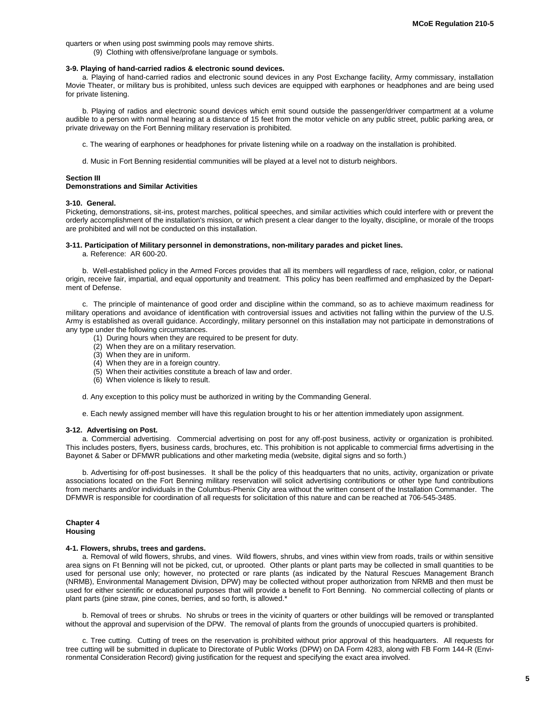quarters or when using post swimming pools may remove shirts.

(9) Clothing with offensive/profane language or symbols.

### **3-9. Playing of hand-carried radios & electronic sound devices.**

a. Playing of hand-carried radios and electronic sound devices in any Post Exchange facility, Army commissary, installation Movie Theater, or military bus is prohibited, unless such devices are equipped with earphones or headphones and are being used for private listening.

b. Playing of radios and electronic sound devices which emit sound outside the passenger/driver compartment at a volume audible to a person with normal hearing at a distance of 15 feet from the motor vehicle on any public street, public parking area, or private driveway on the Fort Benning military reservation is prohibited.

- c. The wearing of earphones or headphones for private listening while on a roadway on the installation is prohibited.
- d. Music in Fort Benning residential communities will be played at a level not to disturb neighbors.

#### **Section III**

# **Demonstrations and Similar Activities**

### **3-10. General.**

Picketing, demonstrations, sit-ins, protest marches, political speeches, and similar activities which could interfere with or prevent the orderly accomplishment of the installation's mission, or which present a clear danger to the loyalty, discipline, or morale of the troops are prohibited and will not be conducted on this installation.

### **3-11. Participation of Military personnel in demonstrations, non-military parades and picket lines.**

a. Reference: AR 600-20.

b. Well-established policy in the Armed Forces provides that all its members will regardless of race, religion, color, or national origin, receive fair, impartial, and equal opportunity and treatment. This policy has been reaffirmed and emphasized by the Department of Defense.

c. The principle of maintenance of good order and discipline within the command, so as to achieve maximum readiness for military operations and avoidance of identification with controversial issues and activities not falling within the purview of the U.S. Army is established as overall guidance. Accordingly, military personnel on this installation may not participate in demonstrations of any type under the following circumstances.

- (1) During hours when they are required to be present for duty.
- (2) When they are on a military reservation.
- (3) When they are in uniform.
- (4) When they are in a foreign country.
- (5) When their activities constitute a breach of law and order.
- (6) When violence is likely to result.

d. Any exception to this policy must be authorized in writing by the Commanding General.

e. Each newly assigned member will have this regulation brought to his or her attention immediately upon assignment.

# **3-12. Advertising on Post.**

a. Commercial advertising. Commercial advertising on post for any off-post business, activity or organization is prohibited. This includes posters, flyers, business cards, brochures, etc. This prohibition is not applicable to commercial firms advertising in the Bayonet & Saber or DFMWR publications and other marketing media (website, digital signs and so forth.)

b. Advertising for off-post businesses. It shall be the policy of this headquarters that no units, activity, organization or private associations located on the Fort Benning military reservation will solicit advertising contributions or other type fund contributions from merchants and/or individuals in the Columbus-Phenix City area without the written consent of the Installation Commander. The DFMWR is responsible for coordination of all requests for solicitation of this nature and can be reached at 706-545-3485.

### **Chapter 4 Housing**

### **4-1. Flowers, shrubs, trees and gardens.**

a. Removal of wild flowers, shrubs, and vines. Wild flowers, shrubs, and vines within view from roads, trails or within sensitive area signs on Ft Benning will not be picked, cut, or uprooted. Other plants or plant parts may be collected in small quantities to be used for personal use only; however, no protected or rare plants (as indicated by the Natural Rescues Management Branch (NRMB), Environmental Management Division, DPW) may be collected without proper authorization from NRMB and then must be used for either scientific or educational purposes that will provide a benefit to Fort Benning. No commercial collecting of plants or plant parts (pine straw, pine cones, berries, and so forth, is allowed.\*

b. Removal of trees or shrubs. No shrubs or trees in the vicinity of quarters or other buildings will be removed or transplanted without the approval and supervision of the DPW. The removal of plants from the grounds of unoccupied quarters is prohibited.

c. Tree cutting. Cutting of trees on the reservation is prohibited without prior approval of this headquarters. All requests for tree cutting will be submitted in duplicate to Directorate of Public Works (DPW) on DA Form 4283, along with FB Form 144-R (Environmental Consideration Record) giving justification for the request and specifying the exact area involved.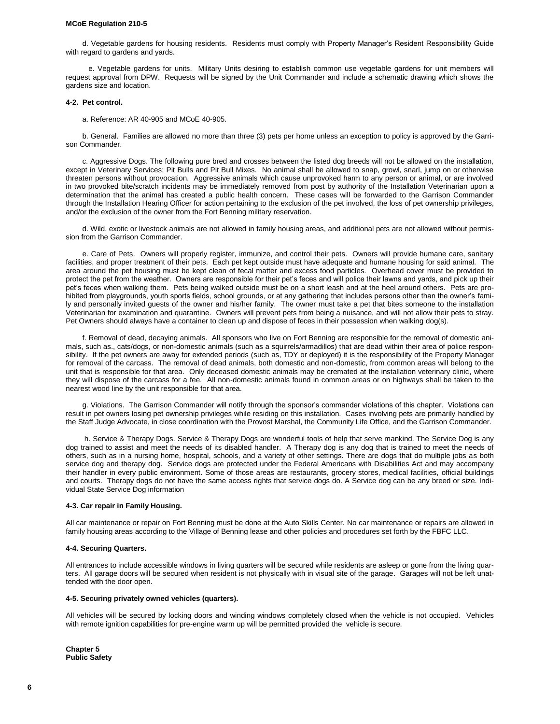d. Vegetable gardens for housing residents. Residents must comply with Property Manager's Resident Responsibility Guide with regard to gardens and yards.

 e. Vegetable gardens for units. Military Units desiring to establish common use vegetable gardens for unit members will request approval from DPW. Requests will be signed by the Unit Commander and include a schematic drawing which shows the gardens size and location.

### **4-2. Pet control.**

a. Reference: AR 40-905 and MCoE 40-905.

b. General. Families are allowed no more than three (3) pets per home unless an exception to policy is approved by the Garrison Commander.

c. Aggressive Dogs. The following pure bred and crosses between the listed dog breeds will not be allowed on the installation, except in Veterinary Services: Pit Bulls and Pit Bull Mixes. No animal shall be allowed to snap, growl, snarl, jump on or otherwise threaten persons without provocation. Aggressive animals which cause unprovoked harm to any person or animal, or are involved in two provoked bite/scratch incidents may be immediately removed from post by authority of the Installation Veterinarian upon a determination that the animal has created a public health concern. These cases will be forwarded to the Garrison Commander through the Installation Hearing Officer for action pertaining to the exclusion of the pet involved, the loss of pet ownership privileges, and/or the exclusion of the owner from the Fort Benning military reservation.

d. Wild, exotic or livestock animals are not allowed in family housing areas, and additional pets are not allowed without permission from the Garrison Commander.

e. Care of Pets. Owners will properly register, immunize, and control their pets. Owners will provide humane care, sanitary facilities, and proper treatment of their pets. Each pet kept outside must have adequate and humane housing for said animal. The area around the pet housing must be kept clean of fecal matter and excess food particles. Overhead cover must be provided to protect the pet from the weather. Owners are responsible for their pet's feces and will police their lawns and yards, and pick up their pet's feces when walking them. Pets being walked outside must be on a short leash and at the heel around others. Pets are prohibited from playgrounds, youth sports fields, school grounds, or at any gathering that includes persons other than the owner's family and personally invited guests of the owner and his/her family. The owner must take a pet that bites someone to the installation Veterinarian for examination and quarantine. Owners will prevent pets from being a nuisance, and will not allow their pets to stray. Pet Owners should always have a container to clean up and dispose of feces in their possession when walking dog(s).

f. Removal of dead, decaying animals. All sponsors who live on Fort Benning are responsible for the removal of domestic animals, such as., cats/dogs, or non-domestic animals (such as a squirrels/armadillos) that are dead within their area of police responsibility. If the pet owners are away for extended periods (such as, TDY or deployed) it is the responsibility of the Property Manager for removal of the carcass. The removal of dead animals, both domestic and non-domestic, from common areas will belong to the unit that is responsible for that area. Only deceased domestic animals may be cremated at the installation veterinary clinic, where they will dispose of the carcass for a fee. All non-domestic animals found in common areas or on highways shall be taken to the nearest wood line by the unit responsible for that area.

g. Violations. The Garrison Commander will notify through the sponsor's commander violations of this chapter. Violations can result in pet owners losing pet ownership privileges while residing on this installation. Cases involving pets are primarily handled by the Staff Judge Advocate, in close coordination with the Provost Marshal, the Community Life Office, and the Garrison Commander.

h. Service & Therapy Dogs. Service & Therapy Dogs are wonderful tools of help that serve mankind. The Service Dog is any dog trained to assist and meet the needs of its disabled handler. A Therapy dog is any dog that is trained to meet the needs of others, such as in a nursing home, hospital, schools, and a variety of other settings. There are dogs that do multiple jobs as both service dog and therapy dog. Service dogs are protected under the Federal Americans with Disabilities Act and may accompany their handler in every public environment. Some of those areas are restaurants, grocery stores, medical facilities, official buildings and courts. Therapy dogs do not have the same access rights that service dogs do. A Service dog can be any breed or size. Individual State Service Dog information

# **4-3. Car repair in Family Housing.**

All car maintenance or repair on Fort Benning must be done at the Auto Skills Center. No car maintenance or repairs are allowed in family housing areas according to the Village of Benning lease and other policies and procedures set forth by the FBFC LLC.

### **4-4. Securing Quarters.**

All entrances to include accessible windows in living quarters will be secured while residents are asleep or gone from the living quarters. All garage doors will be secured when resident is not physically with in visual site of the garage. Garages will not be left unattended with the door open.

### **4-5. Securing privately owned vehicles (quarters).**

All vehicles will be secured by locking doors and winding windows completely closed when the vehicle is not occupied. Vehicles with remote ignition capabilities for pre-engine warm up will be permitted provided the vehicle is secure.

**Chapter 5 Public Safety**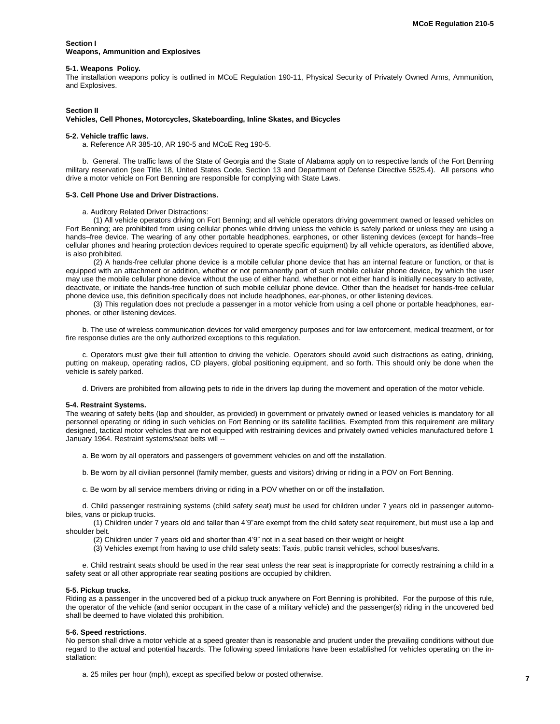# **Section I Weapons, Ammunition and Explosives**

#### **5-1. Weapons Policy.**

The installation weapons policy is outlined in MCoE Regulation 190-11, Physical Security of Privately Owned Arms, Ammunition, and Explosives.

# **Section II**

# **Vehicles, Cell Phones, Motorcycles, Skateboarding, Inline Skates, and Bicycles**

### **5-2. Vehicle traffic laws.**

a. Reference AR 385-10, AR 190-5 and MCoE Reg 190-5.

b. General. The traffic laws of the State of Georgia and the State of Alabama apply on to respective lands of the Fort Benning military reservation (see Title 18, United States Code, Section 13 and Department of Defense Directive 5525.4). All persons who drive a motor vehicle on Fort Benning are responsible for complying with State Laws.

### **5-3. Cell Phone Use and Driver Distractions.**

### a. Auditory Related Driver Distractions:

(1) All vehicle operators driving on Fort Benning; and all vehicle operators driving government owned or leased vehicles on Fort Benning; are prohibited from using cellular phones while driving unless the vehicle is safely parked or unless they are using a hands–free device. The wearing of any other portable headphones, earphones, or other listening devices (except for hands–free cellular phones and hearing protection devices required to operate specific equipment) by all vehicle operators, as identified above, is also prohibited.

(2) A hands-free cellular phone device is a mobile cellular phone device that has an internal feature or function, or that is equipped with an attachment or addition, whether or not permanently part of such mobile cellular phone device, by which the user may use the mobile cellular phone device without the use of either hand, whether or not either hand is initially necessary to activate, deactivate, or initiate the hands-free function of such mobile cellular phone device. Other than the headset for hands-free cellular phone device use, this definition specifically does not include headphones, ear-phones, or other listening devices.

(3) This regulation does not preclude a passenger in a motor vehicle from using a cell phone or portable headphones, earphones, or other listening devices.

b. The use of wireless communication devices for valid emergency purposes and for law enforcement, medical treatment, or for fire response duties are the only authorized exceptions to this regulation.

c. Operators must give their full attention to driving the vehicle. Operators should avoid such distractions as eating, drinking, putting on makeup, operating radios, CD players, global positioning equipment, and so forth. This should only be done when the vehicle is safely parked.

d. Drivers are prohibited from allowing pets to ride in the drivers lap during the movement and operation of the motor vehicle.

#### **5-4. Restraint Systems.**

The wearing of safety belts (lap and shoulder, as provided) in government or privately owned or leased vehicles is mandatory for all personnel operating or riding in such vehicles on Fort Benning or its satellite facilities. Exempted from this requirement are military designed, tactical motor vehicles that are not equipped with restraining devices and privately owned vehicles manufactured before 1 January 1964. Restraint systems/seat belts will --

a. Be worn by all operators and passengers of government vehicles on and off the installation.

- b. Be worn by all civilian personnel (family member, guests and visitors) driving or riding in a POV on Fort Benning.
- c. Be worn by all service members driving or riding in a POV whether on or off the installation.

d. Child passenger restraining systems (child safety seat) must be used for children under 7 years old in passenger automobiles, vans or pickup trucks.

(1) Children under 7 years old and taller than 4'9"are exempt from the child safety seat requirement, but must use a lap and shoulder belt.

- (2) Children under 7 years old and shorter than 4'9" not in a seat based on their weight or height
- (3) Vehicles exempt from having to use child safety seats: Taxis, public transit vehicles, school buses/vans.

e. Child restraint seats should be used in the rear seat unless the rear seat is inappropriate for correctly restraining a child in a safety seat or all other appropriate rear seating positions are occupied by children.

#### **5-5. Pickup trucks.**

Riding as a passenger in the uncovered bed of a pickup truck anywhere on Fort Benning is prohibited. For the purpose of this rule, the operator of the vehicle (and senior occupant in the case of a military vehicle) and the passenger(s) riding in the uncovered bed shall be deemed to have violated this prohibition.

### **5-6. Speed restrictions**.

No person shall drive a motor vehicle at a speed greater than is reasonable and prudent under the prevailing conditions without due regard to the actual and potential hazards. The following speed limitations have been established for vehicles operating on the installation:

a. 25 miles per hour (mph), except as specified below or posted otherwise.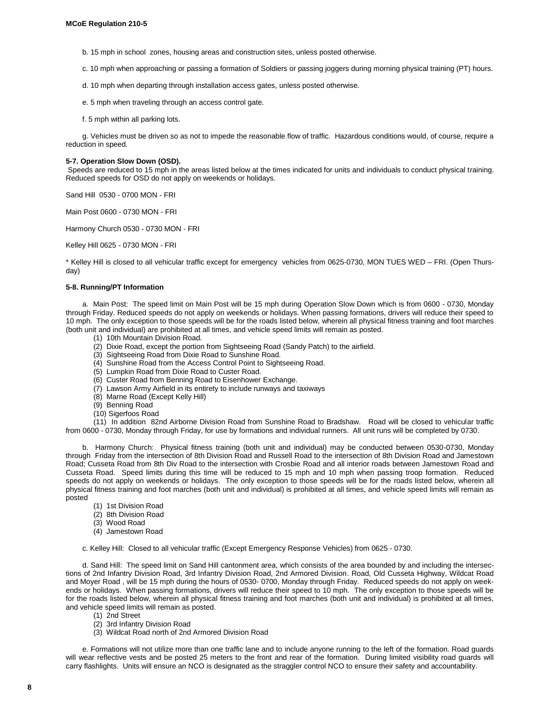- b. 15 mph in school zones, housing areas and construction sites, unless posted otherwise.
- c. 10 mph when approaching or passing a formation of Soldiers or passing joggers during morning physical training (PT) hours.
- d. 10 mph when departing through installation access gates, unless posted otherwise.
- e. 5 mph when traveling through an access control gate.
- f. 5 mph within all parking lots.

g. Vehicles must be driven so as not to impede the reasonable flow of traffic. Hazardous conditions would, of course, require a reduction in speed.

### **5-7. Operation Slow Down (OSD).**

Speeds are reduced to 15 mph in the areas listed below at the times indicated for units and individuals to conduct physical training. Reduced speeds for OSD do not apply on weekends or holidays.

Sand Hill 0530 - 0700 MON - FRI

Main Post 0600 - 0730 MON - FRI

Harmony Church 0530 - 0730 MON - FRI

Kelley Hill 0625 - 0730 MON - FRI

\* Kelley Hill is closed to all vehicular traffic except for emergency vehicles from 0625-0730, MON TUES WED – FRI. (Open Thursday)

### **5-8. Running/PT Information**

a. Main Post: The speed limit on Main Post will be 15 mph during Operation Slow Down which is from 0600 - 0730, Monday through Friday. Reduced speeds do not apply on weekends or holidays. When passing formations, drivers will reduce their speed to 10 mph. The only exception to those speeds will be for the roads listed below, wherein all physical fitness training and foot marches (both unit and individual) are prohibited at all times, and vehicle speed limits will remain as posted.

- (1) 10th Mountain Division Road.
- (2) Dixie Road, except the portion from Sightseeing Road (Sandy Patch) to the airfield.
- (3) Sightseeing Road from Dixie Road to Sunshine Road.
- (4) Sunshine Road from the Access Control Point to Sightseeing Road.
- (5) Lumpkin Road from Dixie Road to Custer Road.
- (6) Custer Road from Benning Road to Eisenhower Exchange.
- (7) Lawson Army Airfield in its entirety to include runways and taxiways
- (8) Marne Road (Except Kelly Hill)
- (9) Benning Road
- (10) Sigerfoos Road

(11) In addition 82nd Airborne Division Road from Sunshine Road to Bradshaw. Road will be closed to vehicular traffic from 0600 - 0730, Monday through Friday, for use by formations and individual runners. All unit runs will be completed by 0730.

b. Harmony Church: Physical fitness training (both unit and individual) may be conducted between 0530-0730, Monday through Friday from the intersection of 8th Division Road and Russell Road to the intersection of 8th Division Road and Jamestown Road; Cusseta Road from 8th Div Road to the intersection with Crosbie Road and all interior roads between Jamestown Road and Cusseta Road. Speed limits during this time will be reduced to 15 mph and 10 mph when passing troop formation. Reduced speeds do not apply on weekends or holidays. The only exception to those speeds will be for the roads listed below, wherein all physical fitness training and foot marches (both unit and individual) is prohibited at all times, and vehicle speed limits will remain as posted

- (1) 1st Division Road
- (2) 8th Division Road
- (3) Wood Road
- (4) Jamestown Road

c. Kelley Hill: Closed to all vehicular traffic (Except Emergency Response Vehicles) from 0625 - 0730.

d. Sand Hill: The speed limit on Sand Hill cantonment area, which consists of the area bounded by and including the intersections of 2nd Infantry Division Road, 3rd Infantry Division Road, 2nd Armored Division. Road, Old Cusseta Highway, Wildcat Road and Moyer Road , will be 15 mph during the hours of 0530- 0700, Monday through Friday. Reduced speeds do not apply on weekends or holidays. When passing formations, drivers will reduce their speed to 10 mph. The only exception to those speeds will be for the roads listed below, wherein all physical fitness training and foot marches (both unit and individual) is prohibited at all times, and vehicle speed limits will remain as posted.

- (1) 2nd Street
- (2) 3rd Infantry Division Road
- (3) Wildcat Road north of 2nd Armored Division Road

e. Formations will not utilize more than one traffic lane and to include anyone running to the left of the formation. Road guards will wear reflective vests and be posted 25 meters to the front and rear of the formation. During limited visibility road guards will carry flashlights. Units will ensure an NCO is designated as the straggler control NCO to ensure their safety and accountability.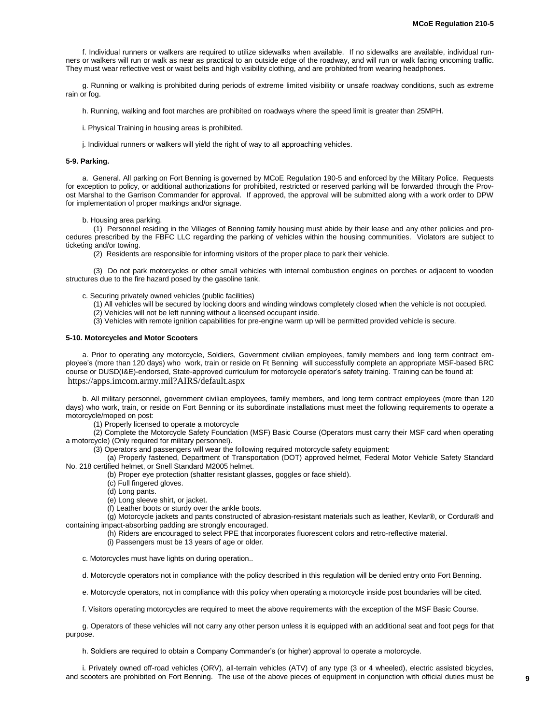f. Individual runners or walkers are required to utilize sidewalks when available. If no sidewalks are available, individual runners or walkers will run or walk as near as practical to an outside edge of the roadway, and will run or walk facing oncoming traffic. They must wear reflective vest or waist belts and high visibility clothing, and are prohibited from wearing headphones.

g. Running or walking is prohibited during periods of extreme limited visibility or unsafe roadway conditions, such as extreme rain or fog.

h. Running, walking and foot marches are prohibited on roadways where the speed limit is greater than 25MPH.

i. Physical Training in housing areas is prohibited.

j. Individual runners or walkers will yield the right of way to all approaching vehicles.

### **5-9. Parking.**

a. General. All parking on Fort Benning is governed by MCoE Regulation 190-5 and enforced by the Military Police. Requests for exception to policy, or additional authorizations for prohibited, restricted or reserved parking will be forwarded through the Provost Marshal to the Garrison Commander for approval. If approved, the approval will be submitted along with a work order to DPW for implementation of proper markings and/or signage.

b. Housing area parking.

(1) Personnel residing in the Villages of Benning family housing must abide by their lease and any other policies and procedures prescribed by the FBFC LLC regarding the parking of vehicles within the housing communities. Violators are subject to ticketing and/or towing.

(2) Residents are responsible for informing visitors of the proper place to park their vehicle.

(3) Do not park motorcycles or other small vehicles with internal combustion engines on porches or adjacent to wooden structures due to the fire hazard posed by the gasoline tank.

- c. Securing privately owned vehicles (public facilities)
	- (1) All vehicles will be secured by locking doors and winding windows completely closed when the vehicle is not occupied.
	- (2) Vehicles will not be left running without a licensed occupant inside.
	- (3) Vehicles with remote ignition capabilities for pre-engine warm up will be permitted provided vehicle is secure.

### **5-10. Motorcycles and Motor Scooters**

a. Prior to operating any motorcycle, Soldiers, Government civilian employees, family members and long term contract employee's (more than 120 days) who work, train or reside on Ft Benning will successfully complete an appropriate MSF-based BRC course or DUSD(I&E)-endorsed, State-approved curriculum for motorcycle operator's safety training. Training can be found at: [https://apps.imcom.army.mil?AIRS/default.aspx](https://apps.imcom.army.mil/?AIRS/default.aspx)

b. All military personnel, government civilian employees, family members, and long term contract employees (more than 120 days) who work, train, or reside on Fort Benning or its subordinate installations must meet the following requirements to operate a motorcycle/moped on post:

(1) Properly licensed to operate a motorcycle

(2) Complete the Motorcycle Safety Foundation (MSF) Basic Course (Operators must carry their MSF card when operating a motorcycle) (Only required for military personnel).

(3) Operators and passengers will wear the following required motorcycle safety equipment:

(a) Properly fastened, Department of Transportation (DOT) approved helmet, Federal Motor Vehicle Safety Standard No. 218 certified helmet, or Snell Standard M2005 helmet.

(b) Proper eye protection (shatter resistant glasses, goggles or face shield).

(c) Full fingered gloves.

(d) Long pants.

(e) Long sleeve shirt, or jacket.

(f) Leather boots or sturdy over the ankle boots.

(g) Motorcycle jackets and pants constructed of abrasion-resistant materials such as leather, Kevlar®, or Cordura® and containing impact-absorbing padding are strongly encouraged.

- (h) Riders are encouraged to select PPE that incorporates fluorescent colors and retro-reflective material.
- (i) Passengers must be 13 years of age or older.

c. Motorcycles must have lights on during operation..

d. Motorcycle operators not in compliance with the policy described in this regulation will be denied entry onto Fort Benning.

e. Motorcycle operators, not in compliance with this policy when operating a motorcycle inside post boundaries will be cited.

f. Visitors operating motorcycles are required to meet the above requirements with the exception of the MSF Basic Course.

g. Operators of these vehicles will not carry any other person unless it is equipped with an additional seat and foot pegs for that purpose.

h. Soldiers are required to obtain a Company Commander's (or higher) approval to operate a motorcycle.

i. Privately owned off-road vehicles (ORV), all-terrain vehicles (ATV) of any type (3 or 4 wheeled), electric assisted bicycles, and scooters are prohibited on Fort Benning. The use of the above pieces of equipment in conjunction with official duties must be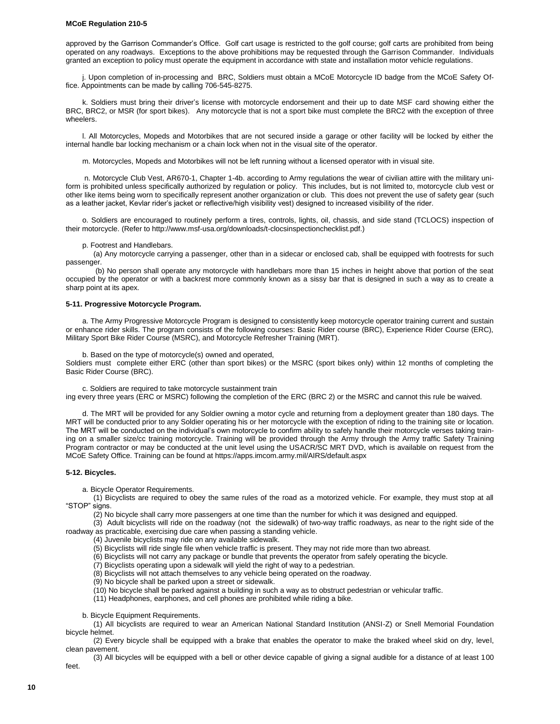approved by the Garrison Commander's Office. Golf cart usage is restricted to the golf course; golf carts are prohibited from being operated on any roadways. Exceptions to the above prohibitions may be requested through the Garrison Commander. Individuals granted an exception to policy must operate the equipment in accordance with state and installation motor vehicle regulations.

j. Upon completion of in-processing and BRC, Soldiers must obtain a MCoE Motorcycle ID badge from the MCoE Safety Office. Appointments can be made by calling 706-545-8275.

k. Soldiers must bring their driver's license with motorcycle endorsement and their up to date MSF card showing either the BRC, BRC2, or MSR (for sport bikes). Any motorcycle that is not a sport bike must complete the BRC2 with the exception of three wheelers.

l. All Motorcycles, Mopeds and Motorbikes that are not secured inside a garage or other facility will be locked by either the internal handle bar locking mechanism or a chain lock when not in the visual site of the operator.

m. Motorcycles, Mopeds and Motorbikes will not be left running without a licensed operator with in visual site.

n. Motorcycle Club Vest, AR670-1, Chapter 1-4b. according to Army regulations the wear of civilian attire with the military uniform is prohibited unless specifically authorized by regulation or policy. This includes, but is not limited to, motorcycle club vest or other like items being worn to specifically represent another organization or club. This does not prevent the use of safety gear (such as a leather jacket, Kevlar rider's jacket or reflective/high visibility vest) designed to increased visibility of the rider.

o. Soldiers are encouraged to routinely perform a tires, controls, lights, oil, chassis, and side stand (TCLOCS) inspection of their motorcycle. (Refer to http://www.msf-usa.org/downloads/t-clocsinspectionchecklist.pdf.)

p. Footrest and Handlebars.

(a) Any motorcycle carrying a passenger, other than in a sidecar or enclosed cab, shall be equipped with footrests for such passenger.

(b) No person shall operate any motorcycle with handlebars more than 15 inches in height above that portion of the seat occupied by the operator or with a backrest more commonly known as a sissy bar that is designed in such a way as to create a sharp point at its apex.

### **5-11. Progressive Motorcycle Program.**

a. The Army Progressive Motorcycle Program is designed to consistently keep motorcycle operator training current and sustain or enhance rider skills. The program consists of the following courses: Basic Rider course (BRC), Experience Rider Course (ERC), Military Sport Bike Rider Course (MSRC), and Motorcycle Refresher Training (MRT).

b. Based on the type of motorcycle(s) owned and operated,

Soldiers must complete either ERC (other than sport bikes) or the MSRC (sport bikes only) within 12 months of completing the Basic Rider Course (BRC).

c. Soldiers are required to take motorcycle sustainment train

ing every three years (ERC or MSRC) following the completion of the ERC (BRC 2) or the MSRC and cannot this rule be waived.

d. The MRT will be provided for any Soldier owning a motor cycle and returning from a deployment greater than 180 days. The MRT will be conducted prior to any Soldier operating his or her motorcycle with the exception of riding to the training site or location. The MRT will be conducted on the individual's own motorcycle to confirm ability to safely handle their motorcycle verses taking training on a smaller size/cc training motorcycle. Training will be provided through the Army through the Army traffic Safety Training Program contractor or may be conducted at the unit level using the USACR/SC MRT DVD, which is available on request from the MCoE Safety Office. Training can be found at https://apps.imcom.army.mil/AIRS/default.aspx

# **5-12. Bicycles.**

a. Bicycle Operator Requirements.

(1) Bicyclists are required to obey the same rules of the road as a motorized vehicle. For example, they must stop at all "STOP" signs.

(2) No bicycle shall carry more passengers at one time than the number for which it was designed and equipped.

(3) Adult bicyclists will ride on the roadway (not the sidewalk) of two-way traffic roadways, as near to the right side of the roadway as practicable, exercising due care when passing a standing vehicle.

(4) Juvenile bicyclists may ride on any available sidewalk.

(5) Bicyclists will ride single file when vehicle traffic is present. They may not ride more than two abreast.

(6) Bicyclists will not carry any package or bundle that prevents the operator from safely operating the bicycle.

(7) Bicyclists operating upon a sidewalk will yield the right of way to a pedestrian.

(8) Bicyclists will not attach themselves to any vehicle being operated on the roadway.

(9) No bicycle shall be parked upon a street or sidewalk.

(10) No bicycle shall be parked against a building in such a way as to obstruct pedestrian or vehicular traffic.

(11) Headphones, earphones, and cell phones are prohibited while riding a bike.

b. Bicycle Equipment Requirements.

(1) All bicyclists are required to wear an American National Standard Institution (ANSI-Z) or Snell Memorial Foundation bicycle helmet.

(2) Every bicycle shall be equipped with a brake that enables the operator to make the braked wheel skid on dry, level, clean pavement.

(3) All bicycles will be equipped with a bell or other device capable of giving a signal audible for a distance of at least 100 feet.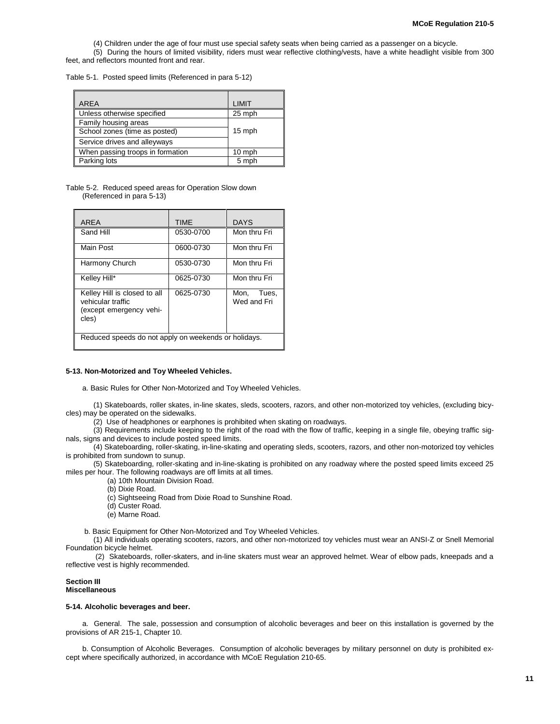(4) Children under the age of four must use special safety seats when being carried as a passenger on a bicycle.

(5) During the hours of limited visibility, riders must wear reflective clothing/vests, have a white headlight visible from 300 feet, and reflectors mounted front and rear.

Table 5-1. Posted speed limits (Referenced in para 5-12)

| AREA                             | <b>LIMIT</b> |
|----------------------------------|--------------|
| Unless otherwise specified       | 25 mph       |
| Family housing areas             |              |
| School zones (time as posted)    | 15 mph       |
| Service drives and alleyways     |              |
| When passing troops in formation | 10 mph       |
| Parking lots                     | 5 mph        |

Table 5-2. Reduced speed areas for Operation Slow down (Referenced in para 5-13)

| ARFA                                                                                  | <b>TIME</b> | <b>DAYS</b>               |  |  |
|---------------------------------------------------------------------------------------|-------------|---------------------------|--|--|
| Sand Hill                                                                             | 0530-0700   | Mon thru Fri              |  |  |
| Main Post                                                                             | 0600-0730   | Mon thru Fri              |  |  |
| Harmony Church                                                                        | 0530-0730   | Mon thru Fri              |  |  |
| Kelley Hill*                                                                          | 0625-0730   | Mon thru Fri              |  |  |
| Kelley Hill is closed to all<br>vehicular traffic<br>(except emergency vehi-<br>cles) | 0625-0730   | Mon, Tues,<br>Wed and Fri |  |  |
| Reduced speeds do not apply on weekends or holidays.                                  |             |                           |  |  |

### **5-13. Non-Motorized and Toy Wheeled Vehicles.**

a. Basic Rules for Other Non-Motorized and Toy Wheeled Vehicles.

(1) Skateboards, roller skates, in-line skates, sleds, scooters, razors, and other non-motorized toy vehicles, (excluding bicycles) may be operated on the sidewalks.

(2) Use of headphones or earphones is prohibited when skating on roadways.

(3) Requirements include keeping to the right of the road with the flow of traffic, keeping in a single file, obeying traffic signals, signs and devices to include posted speed limits.

(4) Skateboarding, roller-skating, in-line-skating and operating sleds, scooters, razors, and other non-motorized toy vehicles is prohibited from sundown to sunup.

(5) Skateboarding, roller-skating and in-line-skating is prohibited on any roadway where the posted speed limits exceed 25 miles per hour. The following roadways are off limits at all times.

(a) 10th Mountain Division Road.

(b) Dixie Road.

- (c) Sightseeing Road from Dixie Road to Sunshine Road.
- (d) Custer Road.
- (e) Marne Road.

b. Basic Equipment for Other Non-Motorized and Toy Wheeled Vehicles.

(1) All individuals operating scooters, razors, and other non-motorized toy vehicles must wear an ANSI-Z or Snell Memorial Foundation bicycle helmet.

(2) Skateboards, roller-skaters, and in-line skaters must wear an approved helmet. Wear of elbow pads, kneepads and a reflective vest is highly recommended.

### **Section III Miscellaneous**

# **5-14. Alcoholic beverages and beer.**

a. General. The sale, possession and consumption of alcoholic beverages and beer on this installation is governed by the provisions of AR 215-1, Chapter 10.

b. Consumption of Alcoholic Beverages. Consumption of alcoholic beverages by military personnel on duty is prohibited except where specifically authorized, in accordance with MCoE Regulation 210-65.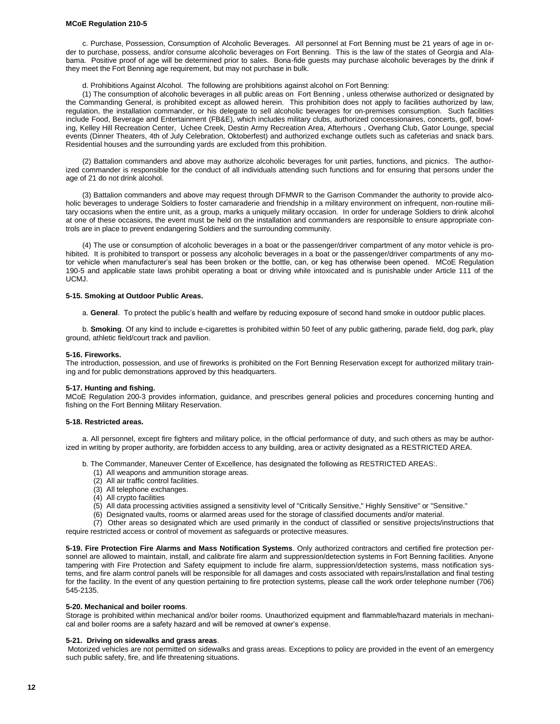c. Purchase, Possession, Consumption of Alcoholic Beverages. All personnel at Fort Benning must be 21 years of age in order to purchase, possess, and/or consume alcoholic beverages on Fort Benning. This is the law of the states of Georgia and Alabama. Positive proof of age will be determined prior to sales. Bona-fide guests may purchase alcoholic beverages by the drink if they meet the Fort Benning age requirement, but may not purchase in bulk.

d. Prohibitions Against Alcohol. The following are prohibitions against alcohol on Fort Benning:

(1) The consumption of alcoholic beverages in all public areas on Fort Benning , unless otherwise authorized or designated by the Commanding General, is prohibited except as allowed herein. This prohibition does not apply to facilities authorized by law, regulation, the installation commander, or his delegate to sell alcoholic beverages for on-premises consumption. Such facilities include Food, Beverage and Entertainment (FB&E), which includes military clubs, authorized concessionaires, concerts, golf, bowling, Kelley Hill Recreation Center, Uchee Creek, Destin Army Recreation Area, Afterhours , Overhang Club, Gator Lounge, special events (Dinner Theaters, 4th of July Celebration, Oktoberfest) and authorized exchange outlets such as cafeterias and snack bars. Residential houses and the surrounding yards are excluded from this prohibition.

(2) Battalion commanders and above may authorize alcoholic beverages for unit parties, functions, and picnics. The authorized commander is responsible for the conduct of all individuals attending such functions and for ensuring that persons under the age of 21 do not drink alcohol.

(3) Battalion commanders and above may request through DFMWR to the Garrison Commander the authority to provide alcoholic beverages to underage Soldiers to foster camaraderie and friendship in a military environment on infrequent, non-routine military occasions when the entire unit, as a group, marks a uniquely military occasion. In order for underage Soldiers to drink alcohol at one of these occasions, the event must be held on the installation and commanders are responsible to ensure appropriate controls are in place to prevent endangering Soldiers and the surrounding community.

(4) The use or consumption of alcoholic beverages in a boat or the passenger/driver compartment of any motor vehicle is prohibited. It is prohibited to transport or possess any alcoholic beverages in a boat or the passenger/driver compartments of any motor vehicle when manufacturer's seal has been broken or the bottle, can, or keg has otherwise been opened. MCoE Regulation 190-5 and applicable state laws prohibit operating a boat or driving while intoxicated and is punishable under Article 111 of the UCMJ.

# **5-15. Smoking at Outdoor Public Areas.**

a. **General**. To protect the public's health and welfare by reducing exposure of second hand smoke in outdoor public places.

b. **Smoking**. Of any kind to include e-cigarettes is prohibited within 50 feet of any public gathering, parade field, dog park, play ground, athletic field/court track and pavilion.

### **5-16. Fireworks.**

The introduction, possession, and use of fireworks is prohibited on the Fort Benning Reservation except for authorized military training and for public demonstrations approved by this headquarters.

### **5-17. Hunting and fishing.**

MCoE Regulation 200-3 provides information, guidance, and prescribes general policies and procedures concerning hunting and fishing on the Fort Benning Military Reservation.

### **5-18. Restricted areas.**

a. All personnel, except fire fighters and military police, in the official performance of duty, and such others as may be authorized in writing by proper authority, are forbidden access to any building, area or activity designated as a RESTRICTED AREA.

- b. The Commander, Maneuver Center of Excellence, has designated the following as RESTRICTED AREAS:.
	- (1) All weapons and ammunition storage areas.
	- (2) All air traffic control facilities.
	- (3) All telephone exchanges.
	- (4) All crypto facilities
	- (5) All data processing activities assigned a sensitivity level of "Critically Sensitive," Highly Sensitive" or "Sensitive."
	- (6) Designated vaults, rooms or alarmed areas used for the storage of classified documents and/or material.

(7) Other areas so designated which are used primarily in the conduct of classified or sensitive projects/instructions that require restricted access or control of movement as safeguards or protective measures.

**5-19. Fire Protection Fire Alarms and Mass Notification Systems**. Only authorized contractors and certified fire protection personnel are allowed to maintain, install, and calibrate fire alarm and suppression/detection systems in Fort Benning facilities. Anyone tampering with Fire Protection and Safety equipment to include fire alarm, suppression/detection systems, mass notification systems, and fire alarm control panels will be responsible for all damages and costs associated with repairs/installation and final testing for the facility. In the event of any question pertaining to fire protection systems, please call the work order telephone number (706) 545-2135.

# **5-20. Mechanical and boiler rooms**.

Storage is prohibited within mechanical and/or boiler rooms. Unauthorized equipment and flammable/hazard materials in mechanical and boiler rooms are a safety hazard and will be removed at owner's expense.

# **5-21. Driving on sidewalks and grass areas**.

Motorized vehicles are not permitted on sidewalks and grass areas. Exceptions to policy are provided in the event of an emergency such public safety, fire, and life threatening situations.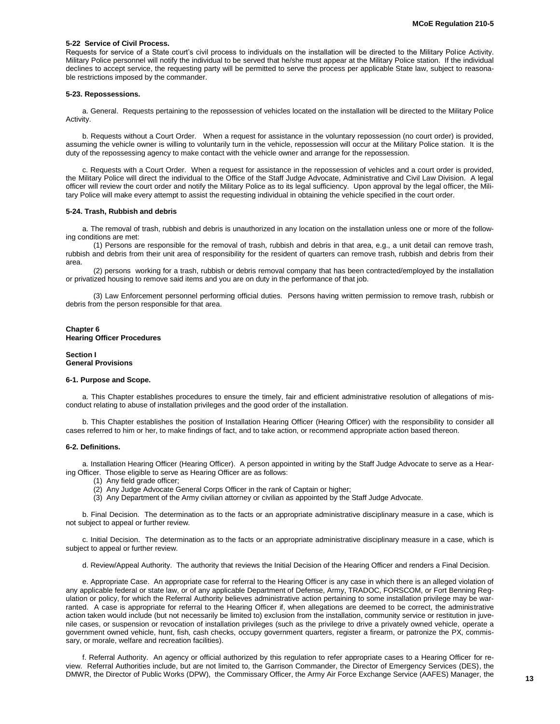### **5-22 Service of Civil Process.**

Requests for service of a State court's civil process to individuals on the installation will be directed to the Military Police Activity. Military Police personnel will notify the individual to be served that he/she must appear at the Military Police station. If the individual declines to accept service, the requesting party will be permitted to serve the process per applicable State law, subject to reasonable restrictions imposed by the commander.

### **5-23. Repossessions.**

a. General. Requests pertaining to the repossession of vehicles located on the installation will be directed to the Military Police Activity.

b. Requests without a Court Order. When a request for assistance in the voluntary repossession (no court order) is provided, assuming the vehicle owner is willing to voluntarily turn in the vehicle, repossession will occur at the Military Police station. It is the duty of the repossessing agency to make contact with the vehicle owner and arrange for the repossession.

c. Requests with a Court Order. When a request for assistance in the repossession of vehicles and a court order is provided, the Military Police will direct the individual to the Office of the Staff Judge Advocate, Administrative and Civil Law Division. A legal officer will review the court order and notify the Military Police as to its legal sufficiency. Upon approval by the legal officer, the Military Police will make every attempt to assist the requesting individual in obtaining the vehicle specified in the court order.

### **5-24. Trash, Rubbish and debris**

a. The removal of trash, rubbish and debris is unauthorized in any location on the installation unless one or more of the following conditions are met:

(1) Persons are responsible for the removal of trash, rubbish and debris in that area, e.g., a unit detail can remove trash, rubbish and debris from their unit area of responsibility for the resident of quarters can remove trash, rubbish and debris from their area.

(2) persons working for a trash, rubbish or debris removal company that has been contracted/employed by the installation or privatized housing to remove said items and you are on duty in the performance of that job.

(3) Law Enforcement personnel performing official duties. Persons having written permission to remove trash, rubbish or debris from the person responsible for that area.

## **Chapter 6 Hearing Officer Procedures**

**Section I General Provisions**

#### **6-1. Purpose and Scope.**

a. This Chapter establishes procedures to ensure the timely, fair and efficient administrative resolution of allegations of misconduct relating to abuse of installation privileges and the good order of the installation.

b. This Chapter establishes the position of Installation Hearing Officer (Hearing Officer) with the responsibility to consider all cases referred to him or her, to make findings of fact, and to take action, or recommend appropriate action based thereon.

### **6-2. Definitions.**

a. Installation Hearing Officer (Hearing Officer). A person appointed in writing by the Staff Judge Advocate to serve as a Hearing Officer. Those eligible to serve as Hearing Officer are as follows:

- (1) Any field grade officer;
- (2) Any Judge Advocate General Corps Officer in the rank of Captain or higher;
- (3) Any Department of the Army civilian attorney or civilian as appointed by the Staff Judge Advocate.

b. Final Decision. The determination as to the facts or an appropriate administrative disciplinary measure in a case, which is not subject to appeal or further review.

c. Initial Decision. The determination as to the facts or an appropriate administrative disciplinary measure in a case, which is subject to appeal or further review.

d. Review/Appeal Authority. The authority that reviews the Initial Decision of the Hearing Officer and renders a Final Decision.

e. Appropriate Case. An appropriate case for referral to the Hearing Officer is any case in which there is an alleged violation of any applicable federal or state law, or of any applicable Department of Defense, Army, TRADOC, FORSCOM, or Fort Benning Regulation or policy, for which the Referral Authority believes administrative action pertaining to some installation privilege may be warranted. A case is appropriate for referral to the Hearing Officer if, when allegations are deemed to be correct, the administrative action taken would include (but not necessarily be limited to) exclusion from the installation, community service or restitution in juvenile cases, or suspension or revocation of installation privileges (such as the privilege to drive a privately owned vehicle, operate a government owned vehicle, hunt, fish, cash checks, occupy government quarters, register a firearm, or patronize the PX, commissary, or morale, welfare and recreation facilities).

f. Referral Authority. An agency or official authorized by this regulation to refer appropriate cases to a Hearing Officer for review. Referral Authorities include, but are not limited to, the Garrison Commander, the Director of Emergency Services (DES), the DMWR, the Director of Public Works (DPW), the Commissary Officer, the Army Air Force Exchange Service (AAFES) Manager, the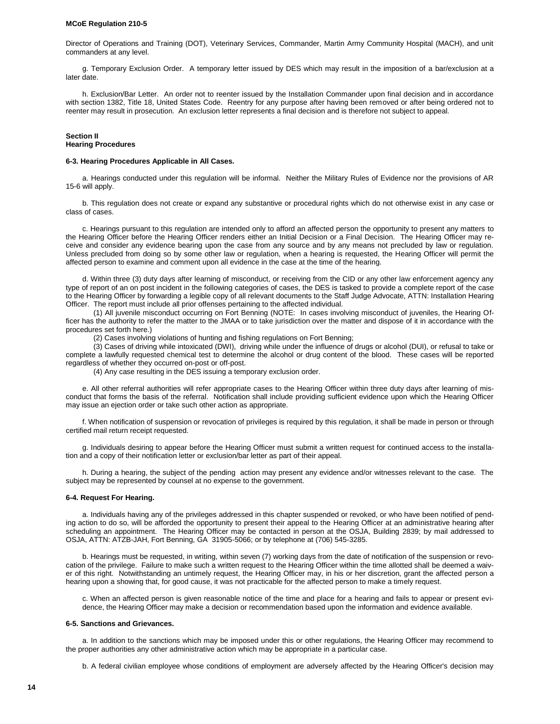Director of Operations and Training (DOT), Veterinary Services, Commander, Martin Army Community Hospital (MACH), and unit commanders at any level.

g. Temporary Exclusion Order. A temporary letter issued by DES which may result in the imposition of a bar/exclusion at a later date.

h. Exclusion/Bar Letter. An order not to reenter issued by the Installation Commander upon final decision and in accordance with section 1382, Title 18, United States Code. Reentry for any purpose after having been removed or after being ordered not to reenter may result in prosecution. An exclusion letter represents a final decision and is therefore not subject to appeal.

### **Section II Hearing Procedures**

### **6-3. Hearing Procedures Applicable in All Cases.**

a. Hearings conducted under this regulation will be informal. Neither the Military Rules of Evidence nor the provisions of AR 15-6 will apply.

b. This regulation does not create or expand any substantive or procedural rights which do not otherwise exist in any case or class of cases.

c. Hearings pursuant to this regulation are intended only to afford an affected person the opportunity to present any matters to the Hearing Officer before the Hearing Officer renders either an Initial Decision or a Final Decision. The Hearing Officer may receive and consider any evidence bearing upon the case from any source and by any means not precluded by law or regulation. Unless precluded from doing so by some other law or regulation, when a hearing is requested, the Hearing Officer will permit the affected person to examine and comment upon all evidence in the case at the time of the hearing.

d. Within three (3) duty days after learning of misconduct, or receiving from the CID or any other law enforcement agency any type of report of an on post incident in the following categories of cases, the DES is tasked to provide a complete report of the case to the Hearing Officer by forwarding a legible copy of all relevant documents to the Staff Judge Advocate, ATTN: Installation Hearing Officer. The report must include all prior offenses pertaining to the affected individual.

(1) All juvenile misconduct occurring on Fort Benning (NOTE: In cases involving misconduct of juveniles, the Hearing Officer has the authority to refer the matter to the JMAA or to take jurisdiction over the matter and dispose of it in accordance with the procedures set forth here.)

(2) Cases involving violations of hunting and fishing regulations on Fort Benning;

(3) Cases of driving while intoxicated (DWI), driving while under the influence of drugs or alcohol (DUI), or refusal to take or complete a lawfully requested chemical test to determine the alcohol or drug content of the blood. These cases will be reported regardless of whether they occurred on-post or off-post.

(4) Any case resulting in the DES issuing a temporary exclusion order.

e. All other referral authorities will refer appropriate cases to the Hearing Officer within three duty days after learning of misconduct that forms the basis of the referral. Notification shall include providing sufficient evidence upon which the Hearing Officer may issue an ejection order or take such other action as appropriate.

f. When notification of suspension or revocation of privileges is required by this regulation, it shall be made in person or through certified mail return receipt requested.

g. Individuals desiring to appear before the Hearing Officer must submit a written request for continued access to the installation and a copy of their notification letter or exclusion/bar letter as part of their appeal.

h. During a hearing, the subject of the pending action may present any evidence and/or witnesses relevant to the case. The subject may be represented by counsel at no expense to the government.

### **6-4. Request For Hearing.**

a. Individuals having any of the privileges addressed in this chapter suspended or revoked, or who have been notified of pending action to do so, will be afforded the opportunity to present their appeal to the Hearing Officer at an administrative hearing after scheduling an appointment. The Hearing Officer may be contacted in person at the OSJA, Building 2839; by mail addressed to OSJA, ATTN: ATZB-JAH, Fort Benning, GA 31905-5066; or by telephone at (706) 545-3285.

b. Hearings must be requested, in writing, within seven (7) working days from the date of notification of the suspension or revocation of the privilege. Failure to make such a written request to the Hearing Officer within the time allotted shall be deemed a waiver of this right. Notwithstanding an untimely request, the Hearing Officer may, in his or her discretion, grant the affected person a hearing upon a showing that, for good cause, it was not practicable for the affected person to make a timely request.

c. When an affected person is given reasonable notice of the time and place for a hearing and fails to appear or present evidence, the Hearing Officer may make a decision or recommendation based upon the information and evidence available.

### **6-5. Sanctions and Grievances.**

a. In addition to the sanctions which may be imposed under this or other regulations, the Hearing Officer may recommend to the proper authorities any other administrative action which may be appropriate in a particular case.

b. A federal civilian employee whose conditions of employment are adversely affected by the Hearing Officer's decision may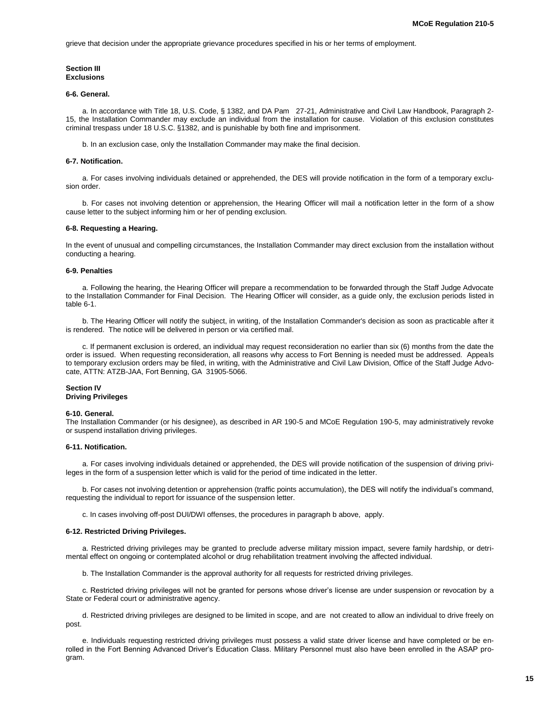grieve that decision under the appropriate grievance procedures specified in his or her terms of employment.

### **Section III Exclusions**

### **6-6. General.**

a. In accordance with Title 18, U.S. Code, § 1382, and DA Pam 27-21, Administrative and Civil Law Handbook, Paragraph 2- 15, the Installation Commander may exclude an individual from the installation for cause. Violation of this exclusion constitutes criminal trespass under 18 U.S.C. §1382, and is punishable by both fine and imprisonment.

b. In an exclusion case, only the Installation Commander may make the final decision.

### **6-7. Notification.**

a. For cases involving individuals detained or apprehended, the DES will provide notification in the form of a temporary exclusion order.

b. For cases not involving detention or apprehension, the Hearing Officer will mail a notification letter in the form of a show cause letter to the subject informing him or her of pending exclusion.

#### **6-8. Requesting a Hearing.**

In the event of unusual and compelling circumstances, the Installation Commander may direct exclusion from the installation without conducting a hearing.

### **6-9. Penalties**

a. Following the hearing, the Hearing Officer will prepare a recommendation to be forwarded through the Staff Judge Advocate to the Installation Commander for Final Decision. The Hearing Officer will consider, as a guide only, the exclusion periods listed in table 6-1.

b. The Hearing Officer will notify the subject, in writing, of the Installation Commander's decision as soon as practicable after it is rendered. The notice will be delivered in person or via certified mail.

c. If permanent exclusion is ordered, an individual may request reconsideration no earlier than six (6) months from the date the order is issued. When requesting reconsideration, all reasons why access to Fort Benning is needed must be addressed. Appeals to temporary exclusion orders may be filed, in writing, with the Administrative and Civil Law Division, Office of the Staff Judge Advocate, ATTN: ATZB-JAA, Fort Benning, GA 31905-5066.

#### **Section IV Driving Privileges**

### **6-10. General.**

The Installation Commander (or his designee), as described in AR 190-5 and MCoE Regulation 190-5, may administratively revoke or suspend installation driving privileges.

### **6-11. Notification.**

a. For cases involving individuals detained or apprehended, the DES will provide notification of the suspension of driving privileges in the form of a suspension letter which is valid for the period of time indicated in the letter.

b. For cases not involving detention or apprehension (traffic points accumulation), the DES will notify the individual's command, requesting the individual to report for issuance of the suspension letter.

c. In cases involving off-post DUI/DWI offenses, the procedures in paragraph b above, apply.

### **6-12. Restricted Driving Privileges.**

a. Restricted driving privileges may be granted to preclude adverse military mission impact, severe family hardship, or detrimental effect on ongoing or contemplated alcohol or drug rehabilitation treatment involving the affected individual.

b. The Installation Commander is the approval authority for all requests for restricted driving privileges.

c. Restricted driving privileges will not be granted for persons whose driver's license are under suspension or revocation by a State or Federal court or administrative agency.

d. Restricted driving privileges are designed to be limited in scope, and are not created to allow an individual to drive freely on post.

e. Individuals requesting restricted driving privileges must possess a valid state driver license and have completed or be enrolled in the Fort Benning Advanced Driver's Education Class. Military Personnel must also have been enrolled in the ASAP program.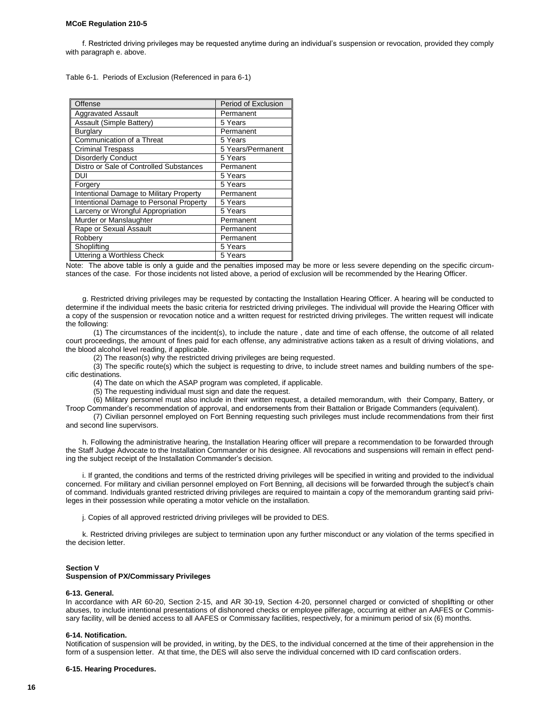f. Restricted driving privileges may be requested anytime during an individual's suspension or revocation, provided they comply with paragraph e. above.

Table 6-1. Periods of Exclusion (Referenced in para 6-1)

| Offense                                 | Period of Exclusion |
|-----------------------------------------|---------------------|
| <b>Aggravated Assault</b>               | Permanent           |
| Assault (Simple Battery)                | 5 Years             |
| Burglary                                | Permanent           |
| Communication of a Threat               | 5 Years             |
| <b>Criminal Trespass</b>                | 5 Years/Permanent   |
| <b>Disorderly Conduct</b>               | 5 Years             |
| Distro or Sale of Controlled Substances | Permanent           |
| DUI                                     | 5 Years             |
| Forgery                                 | 5 Years             |
| Intentional Damage to Military Property | Permanent           |
| Intentional Damage to Personal Property | 5 Years             |
| Larceny or Wrongful Appropriation       | 5 Years             |
| Murder or Manslaughter                  | Permanent           |
| Rape or Sexual Assault                  | Permanent           |
| Robbery                                 | Permanent           |
| Shoplifting                             | 5 Years             |
| Uttering a Worthless Check              | 5 Years             |

Note: The above table is only a guide and the penalties imposed may be more or less severe depending on the specific circumstances of the case. For those incidents not listed above, a period of exclusion will be recommended by the Hearing Officer.

g. Restricted driving privileges may be requested by contacting the Installation Hearing Officer. A hearing will be conducted to determine if the individual meets the basic criteria for restricted driving privileges. The individual will provide the Hearing Officer with a copy of the suspension or revocation notice and a written request for restricted driving privileges. The written request will indicate the following:

(1) The circumstances of the incident(s), to include the nature , date and time of each offense, the outcome of all related court proceedings, the amount of fines paid for each offense, any administrative actions taken as a result of driving violations, and the blood alcohol level reading, if applicable.

(2) The reason(s) why the restricted driving privileges are being requested.

(3) The specific route(s) which the subject is requesting to drive, to include street names and building numbers of the specific destinations.

(4) The date on which the ASAP program was completed, if applicable.

(5) The requesting individual must sign and date the request.

(6) Military personnel must also include in their written request, a detailed memorandum, with their Company, Battery, or

Troop Commander's recommendation of approval, and endorsements from their Battalion or Brigade Commanders (equivalent).

(7) Civilian personnel employed on Fort Benning requesting such privileges must include recommendations from their first and second line supervisors.

h. Following the administrative hearing, the Installation Hearing officer will prepare a recommendation to be forwarded through the Staff Judge Advocate to the Installation Commander or his designee. All revocations and suspensions will remain in effect pending the subject receipt of the Installation Commander's decision.

i. If granted, the conditions and terms of the restricted driving privileges will be specified in writing and provided to the individual concerned. For military and civilian personnel employed on Fort Benning, all decisions will be forwarded through the subject's chain of command. Individuals granted restricted driving privileges are required to maintain a copy of the memorandum granting said privileges in their possession while operating a motor vehicle on the installation.

j. Copies of all approved restricted driving privileges will be provided to DES.

k. Restricted driving privileges are subject to termination upon any further misconduct or any violation of the terms specified in the decision letter.

# **Section V**

# **Suspension of PX/Commissary Privileges**

### **6-13. General.**

In accordance with AR 60-20, Section 2-15, and AR 30-19, Section 4-20, personnel charged or convicted of shoplifting or other abuses, to include intentional presentations of dishonored checks or employee pilferage, occurring at either an AAFES or Commissary facility, will be denied access to all AAFES or Commissary facilities, respectively, for a minimum period of six (6) months.

#### **6-14. Notification.**

Notification of suspension will be provided, in writing, by the DES, to the individual concerned at the time of their apprehension in the form of a suspension letter. At that time, the DES will also serve the individual concerned with ID card confiscation orders.

**6-15. Hearing Procedures.**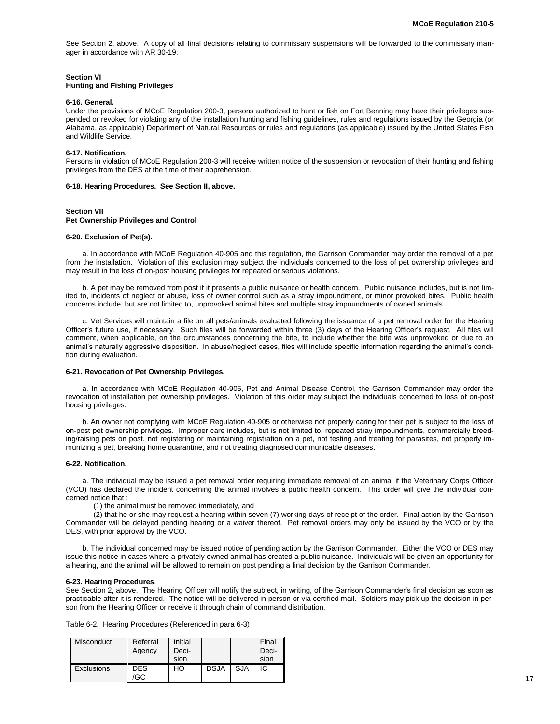See Section 2, above. A copy of all final decisions relating to commissary suspensions will be forwarded to the commissary manager in accordance with AR 30-19.

### **Section VI**

# **Hunting and Fishing Privileges**

# **6-16. General.**

Under the provisions of MCoE Regulation 200-3, persons authorized to hunt or fish on Fort Benning may have their privileges suspended or revoked for violating any of the installation hunting and fishing guidelines, rules and regulations issued by the Georgia (or Alabama, as applicable) Department of Natural Resources or rules and regulations (as applicable) issued by the United States Fish and Wildlife Service.

### **6-17. Notification.**

Persons in violation of MCoE Regulation 200-3 will receive written notice of the suspension or revocation of their hunting and fishing privileges from the DES at the time of their apprehension.

### **6-18. Hearing Procedures. See Section II, above.**

# **Section VII**

# **Pet Ownership Privileges and Control**

# **6-20. Exclusion of Pet(s).**

a. In accordance with MCoE Regulation 40-905 and this regulation, the Garrison Commander may order the removal of a pet from the installation. Violation of this exclusion may subject the individuals concerned to the loss of pet ownership privileges and may result in the loss of on-post housing privileges for repeated or serious violations.

b. A pet may be removed from post if it presents a public nuisance or health concern. Public nuisance includes, but is not limited to, incidents of neglect or abuse, loss of owner control such as a stray impoundment, or minor provoked bites. Public health concerns include, but are not limited to, unprovoked animal bites and multiple stray impoundments of owned animals.

c. Vet Services will maintain a file on all pets/animals evaluated following the issuance of a pet removal order for the Hearing Officer's future use, if necessary. Such files will be forwarded within three (3) days of the Hearing Officer's request. All files will comment, when applicable, on the circumstances concerning the bite, to include whether the bite was unprovoked or due to an animal's naturally aggressive disposition. In abuse/neglect cases, files will include specific information regarding the animal's condition during evaluation.

# **6-21. Revocation of Pet Ownership Privileges.**

a. In accordance with MCoE Regulation 40-905, Pet and Animal Disease Control, the Garrison Commander may order the revocation of installation pet ownership privileges. Violation of this order may subject the individuals concerned to loss of on-post housing privileges.

b. An owner not complying with MCoE Regulation 40-905 or otherwise not properly caring for their pet is subject to the loss of on-post pet ownership privileges. Improper care includes, but is not limited to, repeated stray impoundments, commercially breeding/raising pets on post, not registering or maintaining registration on a pet, not testing and treating for parasites, not properly immunizing a pet, breaking home quarantine, and not treating diagnosed communicable diseases.

# **6-22. Notification.**

a. The individual may be issued a pet removal order requiring immediate removal of an animal if the Veterinary Corps Officer (VCO) has declared the incident concerning the animal involves a public health concern. This order will give the individual concerned notice that ;

(1) the animal must be removed immediately, and

(2) that he or she may request a hearing within seven (7) working days of receipt of the order. Final action by the Garrison Commander will be delayed pending hearing or a waiver thereof. Pet removal orders may only be issued by the VCO or by the DES, with prior approval by the VCO.

b. The individual concerned may be issued notice of pending action by the Garrison Commander. Either the VCO or DES may issue this notice in cases where a privately owned animal has created a public nuisance. Individuals will be given an opportunity for a hearing, and the animal will be allowed to remain on post pending a final decision by the Garrison Commander.

#### **6-23. Hearing Procedures**.

See Section 2, above. The Hearing Officer will notify the subject, in writing, of the Garrison Commander's final decision as soon as practicable after it is rendered. The notice will be delivered in person or via certified mail. Soldiers may pick up the decision in person from the Hearing Officer or receive it through chain of command distribution.

Table 6-2. Hearing Procedures (Referenced in para 6-3)

| Misconduct        | Referral<br>Agency | Initial<br>Deci-<br>sion |             |            | II<br>Final<br>Deci-<br>sion |
|-------------------|--------------------|--------------------------|-------------|------------|------------------------------|
| <b>Exclusions</b> | DES<br>GC          | HС                       | <b>DSJA</b> | <b>SJA</b> |                              |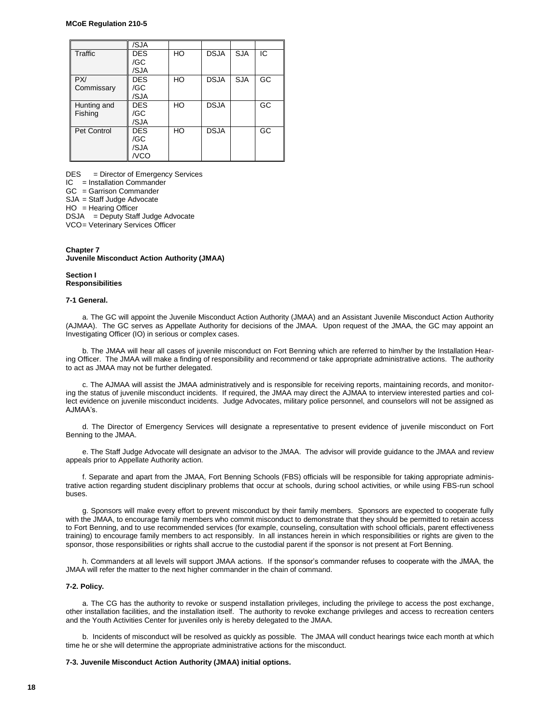|                        | /SJA                              |    |             |            |     |
|------------------------|-----------------------------------|----|-------------|------------|-----|
| Traffic                | <b>DES</b><br>/GC<br>/SJA         | HO | <b>DSJA</b> | <b>SJA</b> | IC. |
| PX/<br>Commissary      | <b>DES</b><br>/GC<br>/SJA         | HO | <b>DSJA</b> | <b>SJA</b> | GC  |
| Hunting and<br>Fishing | <b>DES</b><br>/GC<br>/SJA         | HO | <b>DSJA</b> |            | GC  |
| <b>Pet Control</b>     | <b>DES</b><br>/GC<br>/SJA<br>/VCO | HO | <b>DSJA</b> |            | GC  |

DES = Director of Emergency Services IC = Installation Commander GC = Garrison Commander SJA = Staff Judge Advocate HO = Hearing Officer DSJA = Deputy Staff Judge Advocate VCO= Veterinary Services Officer

# Chapter 7 **Juvenile Misconduct Action Authority (JMAA)**

**Section I Responsibilities**

# **7-1 General.**

a. The GC will appoint the Juvenile Misconduct Action Authority (JMAA) and an Assistant Juvenile Misconduct Action Authority (AJMAA). The GC serves as Appellate Authority for decisions of the JMAA. Upon request of the JMAA, the GC may appoint an Investigating Officer (IO) in serious or complex cases.

b. The JMAA will hear all cases of juvenile misconduct on Fort Benning which are referred to him/her by the Installation Hearing Officer. The JMAA will make a finding of responsibility and recommend or take appropriate administrative actions. The authority to act as JMAA may not be further delegated.

c. The AJMAA will assist the JMAA administratively and is responsible for receiving reports, maintaining records, and monitoring the status of juvenile misconduct incidents. If required, the JMAA may direct the AJMAA to interview interested parties and collect evidence on juvenile misconduct incidents. Judge Advocates, military police personnel, and counselors will not be assigned as AJMAA's.

d. The Director of Emergency Services will designate a representative to present evidence of juvenile misconduct on Fort Benning to the JMAA.

e. The Staff Judge Advocate will designate an advisor to the JMAA. The advisor will provide guidance to the JMAA and review appeals prior to Appellate Authority action.

f. Separate and apart from the JMAA, Fort Benning Schools (FBS) officials will be responsible for taking appropriate administrative action regarding student disciplinary problems that occur at schools, during school activities, or while using FBS-run school buses.

g. Sponsors will make every effort to prevent misconduct by their family members. Sponsors are expected to cooperate fully with the JMAA, to encourage family members who commit misconduct to demonstrate that they should be permitted to retain access to Fort Benning, and to use recommended services (for example, counseling, consultation with school officials, parent effectiveness training) to encourage family members to act responsibly. In all instances herein in which responsibilities or rights are given to the sponsor, those responsibilities or rights shall accrue to the custodial parent if the sponsor is not present at Fort Benning.

h. Commanders at all levels will support JMAA actions. If the sponsor's commander refuses to cooperate with the JMAA, the JMAA will refer the matter to the next higher commander in the chain of command.

# **7-2. Policy.**

a. The CG has the authority to revoke or suspend installation privileges, including the privilege to access the post exchange, other installation facilities, and the installation itself. The authority to revoke exchange privileges and access to recreation centers and the Youth Activities Center for juveniles only is hereby delegated to the JMAA.

b. Incidents of misconduct will be resolved as quickly as possible. The JMAA will conduct hearings twice each month at which time he or she will determine the appropriate administrative actions for the misconduct.

## **7-3. Juvenile Misconduct Action Authority (JMAA) initial options.**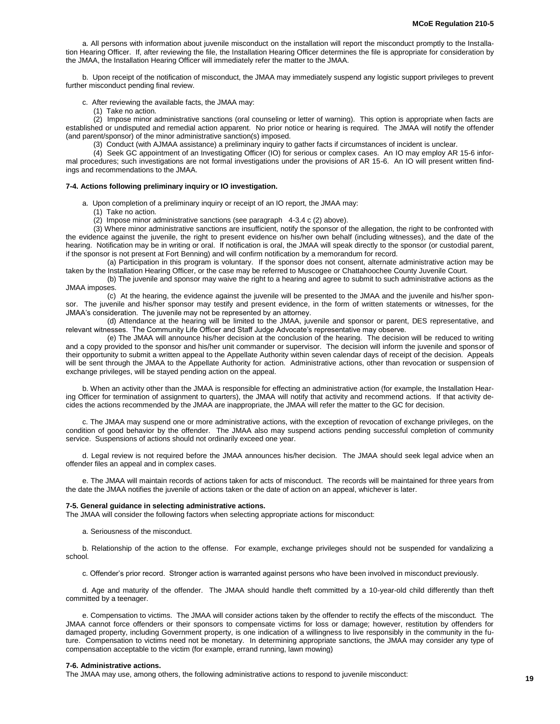a. All persons with information about juvenile misconduct on the installation will report the misconduct promptly to the Installation Hearing Officer. If, after reviewing the file, the Installation Hearing Officer determines the file is appropriate for consideration by the JMAA, the Installation Hearing Officer will immediately refer the matter to the JMAA.

b. Upon receipt of the notification of misconduct, the JMAA may immediately suspend any logistic support privileges to prevent further misconduct pending final review.

c. After reviewing the available facts, the JMAA may:

(1) Take no action.

(2) Impose minor administrative sanctions (oral counseling or letter of warning). This option is appropriate when facts are established or undisputed and remedial action apparent. No prior notice or hearing is required. The JMAA will notify the offender (and parent/sponsor) of the minor administrative sanction(s) imposed.

(3) Conduct (with AJMAA assistance) a preliminary inquiry to gather facts if circumstances of incident is unclear.

(4) Seek GC appointment of an Investigating Officer (IO) for serious or complex cases. An IO may employ AR 15-6 informal procedures; such investigations are not formal investigations under the provisions of AR 15-6. An IO will present written findings and recommendations to the JMAA.

### **7-4. Actions following preliminary inquiry or IO investigation.**

a. Upon completion of a preliminary inquiry or receipt of an IO report, the JMAA may:

(1) Take no action.

 $(2)$  Impose minor administrative sanctions (see paragraph 4-3.4 c  $(2)$  above).

(3) Where minor administrative sanctions are insufficient, notify the sponsor of the allegation, the right to be confronted with the evidence against the juvenile, the right to present evidence on his/her own behalf (including witnesses), and the date of the hearing. Notification may be in writing or oral. If notification is oral, the JMAA will speak directly to the sponsor (or custodial parent, if the sponsor is not present at Fort Benning) and will confirm notification by a memorandum for record.

(a) Participation in this program is voluntary. If the sponsor does not consent, alternate administrative action may be taken by the Installation Hearing Officer, or the case may be referred to Muscogee or Chattahoochee County Juvenile Court.

(b) The juvenile and sponsor may waive the right to a hearing and agree to submit to such administrative actions as the JMAA imposes.

(c) At the hearing, the evidence against the juvenile will be presented to the JMAA and the juvenile and his/her sponsor. The juvenile and his/her sponsor may testify and present evidence, in the form of written statements or witnesses, for the JMAA's consideration. The juvenile may not be represented by an attorney.

(d) Attendance at the hearing will be limited to the JMAA, juvenile and sponsor or parent, DES representative, and relevant witnesses. The Community Life Officer and Staff Judge Advocate's representative may observe.

(e) The JMAA will announce his/her decision at the conclusion of the hearing. The decision will be reduced to writing and a copy provided to the sponsor and his/her unit commander or supervisor. The decision will inform the juvenile and sponsor of their opportunity to submit a written appeal to the Appellate Authority within seven calendar days of receipt of the decision. Appeals will be sent through the JMAA to the Appellate Authority for action. Administrative actions, other than revocation or suspension of exchange privileges, will be stayed pending action on the appeal.

b. When an activity other than the JMAA is responsible for effecting an administrative action (for example, the Installation Hearing Officer for termination of assignment to quarters), the JMAA will notify that activity and recommend actions. If that activity decides the actions recommended by the JMAA are inappropriate, the JMAA will refer the matter to the GC for decision.

c. The JMAA may suspend one or more administrative actions, with the exception of revocation of exchange privileges, on the condition of good behavior by the offender. The JMAA also may suspend actions pending successful completion of community service. Suspensions of actions should not ordinarily exceed one year.

d. Legal review is not required before the JMAA announces his/her decision. The JMAA should seek legal advice when an offender files an appeal and in complex cases.

e. The JMAA will maintain records of actions taken for acts of misconduct. The records will be maintained for three years from the date the JMAA notifies the juvenile of actions taken or the date of action on an appeal, whichever is later.

#### **7-5. General guidance in selecting administrative actions.**

The JMAA will consider the following factors when selecting appropriate actions for misconduct:

a. Seriousness of the misconduct.

b. Relationship of the action to the offense. For example, exchange privileges should not be suspended for vandalizing a school.

c. Offender's prior record. Stronger action is warranted against persons who have been involved in misconduct previously.

d. Age and maturity of the offender. The JMAA should handle theft committed by a 10-year-old child differently than theft committed by a teenager.

e. Compensation to victims. The JMAA will consider actions taken by the offender to rectify the effects of the misconduct. The JMAA cannot force offenders or their sponsors to compensate victims for loss or damage; however, restitution by offenders for damaged property, including Government property, is one indication of a willingness to live responsibly in the community in the future. Compensation to victims need not be monetary. In determining appropriate sanctions, the JMAA may consider any type of compensation acceptable to the victim (for example, errand running, lawn mowing)

### **7-6. Administrative actions.**

The JMAA may use, among others, the following administrative actions to respond to juvenile misconduct: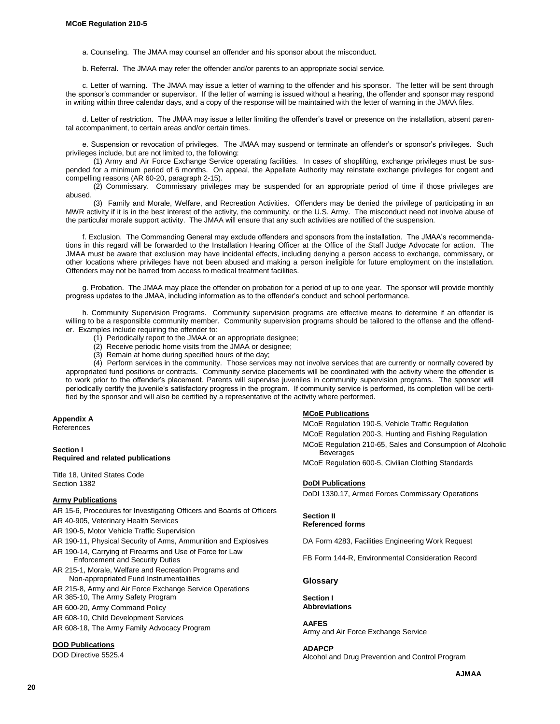a. Counseling. The JMAA may counsel an offender and his sponsor about the misconduct.

b. Referral. The JMAA may refer the offender and/or parents to an appropriate social service.

c. Letter of warning. The JMAA may issue a letter of warning to the offender and his sponsor. The letter will be sent through the sponsor's commander or supervisor. If the letter of warning is issued without a hearing, the offender and sponsor may respond in writing within three calendar days, and a copy of the response will be maintained with the letter of warning in the JMAA files.

d. Letter of restriction. The JMAA may issue a letter limiting the offender's travel or presence on the installation, absent parental accompaniment, to certain areas and/or certain times.

e. Suspension or revocation of privileges. The JMAA may suspend or terminate an offender's or sponsor's privileges. Such privileges include, but are not limited to, the following:

(1) Army and Air Force Exchange Service operating facilities. In cases of shoplifting, exchange privileges must be suspended for a minimum period of 6 months. On appeal, the Appellate Authority may reinstate exchange privileges for cogent and compelling reasons (AR 60-20, paragraph 2-15).

(2) Commissary. Commissary privileges may be suspended for an appropriate period of time if those privileges are abused.

(3) Family and Morale, Welfare, and Recreation Activities. Offenders may be denied the privilege of participating in an MWR activity if it is in the best interest of the activity, the community, or the U.S. Army. The misconduct need not involve abuse of the particular morale support activity. The JMAA will ensure that any such activities are notified of the suspension.

f. Exclusion. The Commanding General may exclude offenders and sponsors from the installation. The JMAA's recommendations in this regard will be forwarded to the Installation Hearing Officer at the Office of the Staff Judge Advocate for action. The JMAA must be aware that exclusion may have incidental effects, including denying a person access to exchange, commissary, or other locations where privileges have not been abused and making a person ineligible for future employment on the installation. Offenders may not be barred from access to medical treatment facilities.

g. Probation. The JMAA may place the offender on probation for a period of up to one year. The sponsor will provide monthly progress updates to the JMAA, including information as to the offender's conduct and school performance.

h. Community Supervision Programs. Community supervision programs are effective means to determine if an offender is willing to be a responsible community member. Community supervision programs should be tailored to the offense and the offender. Examples include requiring the offender to:

- (1) Periodically report to the JMAA or an appropriate designee;
- (2) Receive periodic home visits from the JMAA or designee;
- (3) Remain at home during specified hours of the day;

(4) Perform services in the community. Those services may not involve services that are currently or normally covered by appropriated fund positions or contracts. Community service placements will be coordinated with the activity where the offender is to work prior to the offender's placement. Parents will supervise juveniles in community supervision programs. The sponsor will periodically certify the juvenile's satisfactory progress in the program. If community service is performed, its completion will be certified by the sponsor and will also be certified by a representative of the activity where performed.

# **Appendix A**

References

# **Section I Required and related publications**

Title 18, United States Code Section 1382

# **Army Publications**

AR 15-6, Procedures for Investigating Officers and Boards of Officers AR 40-905, Veterinary Health Services

- AR 190-5, Motor Vehicle Traffic Supervision
- AR 190-11, Physical Security of Arms, Ammunition and Explosives
- AR 190-14, Carrying of Firearms and Use of Force for Law Enforcement and Security Duties
- AR 215-1, Morale, Welfare and Recreation Programs and Non-appropriated Fund Instrumentalities
- AR 215-8, Army and Air Force Exchange Service Operations
- AR 385-10, The Army Safety Program
- AR 600-20, Army Command Policy
- AR 608-10, Child Development Services
- AR 608-18, The Army Family Advocacy Program

# **DOD Publications**

DOD Directive 5525.4

# **MCoE Publications**

MCoE Regulation 190-5, Vehicle Traffic Regulation MCoE Regulation 200-3, Hunting and Fishing Regulation MCoE Regulation 210-65, Sales and Consumption of Alcoholic **Beverages** 

MCoE Regulation 600-5, Civilian Clothing Standards

### **DoDI Publications**

DoDI 1330.17, Armed Forces Commissary Operations

#### **Section II Referenced forms**

DA Form 4283, Facilities Engineering Work Request

FB Form 144-R, Environmental Consideration Record

### **Glossary**

### **Section I Abbreviations**

**AAFES**

Army and Air Force Exchange Service

# **ADAPCP**

Alcohol and Drug Prevention and Control Program